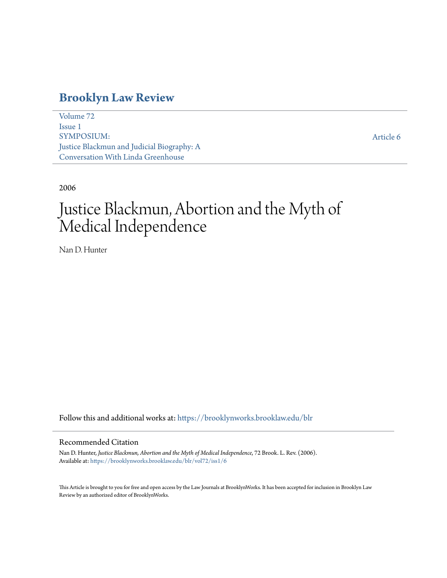## **[Brooklyn Law Review](https://brooklynworks.brooklaw.edu/blr?utm_source=brooklynworks.brooklaw.edu%2Fblr%2Fvol72%2Fiss1%2F6&utm_medium=PDF&utm_campaign=PDFCoverPages)**

[Volume 72](https://brooklynworks.brooklaw.edu/blr/vol72?utm_source=brooklynworks.brooklaw.edu%2Fblr%2Fvol72%2Fiss1%2F6&utm_medium=PDF&utm_campaign=PDFCoverPages) [Issue 1](https://brooklynworks.brooklaw.edu/blr/vol72/iss1?utm_source=brooklynworks.brooklaw.edu%2Fblr%2Fvol72%2Fiss1%2F6&utm_medium=PDF&utm_campaign=PDFCoverPages) SYMPOSIUM: Justice Blackmun and Judicial Biography: A Conversation With Linda Greenhouse

[Article 6](https://brooklynworks.brooklaw.edu/blr/vol72/iss1/6?utm_source=brooklynworks.brooklaw.edu%2Fblr%2Fvol72%2Fiss1%2F6&utm_medium=PDF&utm_campaign=PDFCoverPages)

2006

# Justice Blackmun, Abortion and the Myth of Medical Independence

Nan D. Hunter

Follow this and additional works at: [https://brooklynworks.brooklaw.edu/blr](https://brooklynworks.brooklaw.edu/blr?utm_source=brooklynworks.brooklaw.edu%2Fblr%2Fvol72%2Fiss1%2F6&utm_medium=PDF&utm_campaign=PDFCoverPages)

## Recommended Citation

Nan D. Hunter, *Justice Blackmun, Abortion and the Myth of Medical Independence*, 72 Brook. L. Rev. (2006). Available at: [https://brooklynworks.brooklaw.edu/blr/vol72/iss1/6](https://brooklynworks.brooklaw.edu/blr/vol72/iss1/6?utm_source=brooklynworks.brooklaw.edu%2Fblr%2Fvol72%2Fiss1%2F6&utm_medium=PDF&utm_campaign=PDFCoverPages)

This Article is brought to you for free and open access by the Law Journals at BrooklynWorks. It has been accepted for inclusion in Brooklyn Law Review by an authorized editor of BrooklynWorks.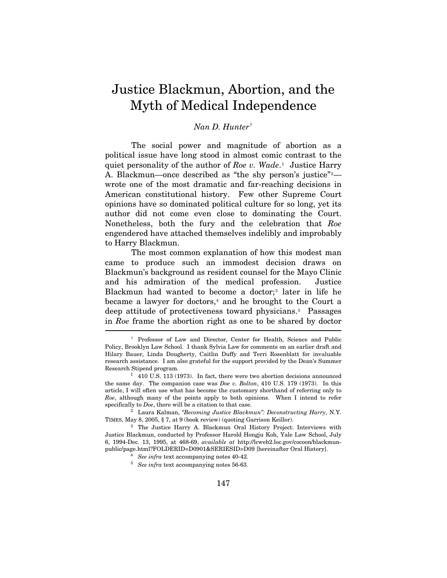## Justice Blackmun, Abortion, and the Myth of Medical Independence

## *Nan D. Hunter*[†](#page-1-0)

The social power and magnitude of abortion as a political issue have long stood in almost comic contrast to the quiet personality of the author of *Roe v. Wade*.[1](#page-1-1) Justice Harry A. Blackmun—once described as "the shy person's justice"<sup>[2](#page-1-2)</sup> wrote one of the most dramatic and far-reaching decisions in American constitutional history. Few other Supreme Court opinions have so dominated political culture for so long, yet its author did not come even close to dominating the Court. Nonetheless, both the fury and the celebration that *Roe* engendered have attached themselves indelibly and improbably to Harry Blackmun.

 in *Roe* frame the abortion right as one to be shared by doctor The most common explanation of how this modest man came to produce such an immodest decision draws on Blackmun's background as resident counsel for the Mayo Clinic and his admiration of the medical profession. Justice Blackmun had wanted to become a doctor;<sup>[3](#page-1-3)</sup> later in life he became a lawyer for doctors, $4$  and he brought to the Court a deep attitude of protectiveness toward physicians.<sup>[5](#page-1-5)</sup> Passages

<span id="page-1-0"></span><sup>†</sup> Professor of Law and Director, Center for Health, Science and Public Policy, Brooklyn Law School. I thank Sylvia Law for comments on an earlier draft and Hilary Bauer, Linda Dougherty, Caitlin Duffy and Terri Rosenblatt for invaluable research assistance. I am also grateful for the support provided by the Dean's Summer Research Stipend program.<br><sup>1</sup> 410 U.S. 113 (1973). In fact, there were two abortion decisions announced

<span id="page-1-1"></span>the same day. The companion case was *Doe v. Bolton*, 410 U.S. 179 (1973). In this article, I will often use what has become the customary shorthand of referring only to *Roe*, although many of the points apply to both opinions. When I intend to refer specifically to *Doe*, there will be a citation to that case.

<span id="page-1-2"></span><sup>&</sup>lt;sup>2</sup> Laura Kalman, *"Becoming Justice Blackmun": Deconstructing Harry*, N.Y. TIMES, May 8, 2005, § 7, at 9 (book review) (quoting Garrison Keillor). 3 The Justice Harry A. Blackmun Oral History Project: Interviews with

<span id="page-1-5"></span><span id="page-1-4"></span><span id="page-1-3"></span>Justice Blackmun, conducted by Professor Harold Hongju Koh, Yale Law School, July 6, 1994-Dec. 13, 1995, at 468-69, *available at* http://lcweb2.loc.gov/cocoon/blackmunpublic/page.html?FOLDERID=D0901&SERIESID=D09 [hereinafter Oral History]. 4 *See infra* text accompanying notes 40-42. 5 *See infra* text accompanying notes 56-63.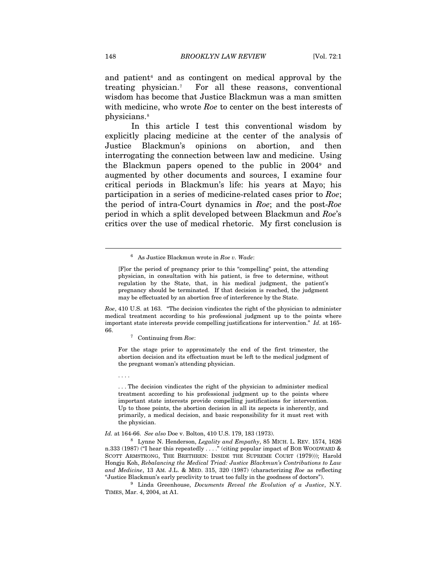and patient<sup> $6$ </sup> and as contingent on medical approval by the treating physician.[7](#page-2-1) For all these reasons, conventional wisdom has become that Justice Blackmun was a man smitten with medicine, who wrote *Roe* to center on the best interests of physicians.[8](#page-2-2)

In this article I test this conventional wisdom by explicitly placing medicine at the center of the analysis of Justice Blackmun's opinions on abortion, and then interrogating the connection between law and medicine. Using the Blackmun papers opened to the public in 2004[9](#page-2-3) and augmented by other documents and sources, I examine four critical periods in Blackmun's life: his years at Mayo; his participation in a series of medicine-related cases prior to *Roe*; the period of intra-Court dynamics in *Roe*; and the post-*Roe* period in which a split developed between Blackmun and *Roe*'s critics over the use of medical rhetoric. My first conclusion is

<span id="page-2-1"></span>*Roe*, 410 U.S. at 163. "The decision vindicates the right of the physician to administer medical treatment according to his professional judgment up to the points where important state interests provide compelling justifications for intervention." *Id.* at 165- 66. 7 Continuing from *Roe*:

For the stage prior to approximately the end of the first trimester, the abortion decision and its effectuation must be left to the medical judgment of the pregnant woman's attending physician.

. . . The decision vindicates the right of the physician to administer medical treatment according to his professional judgment up to the points where important state interests provide compelling justifications for intervention. Up to those points, the abortion decision in all its aspects is inherently, and primarily, a medical decision, and basic responsibility for it must rest with the physician.

<span id="page-2-2"></span>*Id.* at 164-66. *See also* Doe v. Bolton, 410 U.S. 179, 183 (1973).

8 Lynne N. Henderson, *Legality and Empathy*, 85 MICH. L. REV. 1574, 1626 n.333 (1987) ("I hear this repeatedly . . . ." (citing popular impact of BOB WOODWARD & SCOTT ARMSTRONG, THE BRETHREN: INSIDE THE SUPREME COURT (1979))); Harold Hongju Koh, *Rebalancing the Medical Triad: Justice Blackmun's Contributions to Law and Medicine*, 13 AM. J.L. & MED. 315, 320 (1987) (characterizing *Roe* as reflecting

<span id="page-2-3"></span>"Justice Blackmun's early proclivity to trust too fully in the goodness of doctors"). 9 Linda Greenhouse, *Documents Reveal the Evolution of a Justice*, N.Y. TIMES, Mar. 4, 2004, at A1.

<span id="page-2-0"></span> $\overline{a}$ 

. . . .

<sup>6</sup> As Justice Blackmun wrote in *Roe v. Wade*:

<sup>[</sup>F]or the period of pregnancy prior to this "compelling" point, the attending physician, in consultation with his patient, is free to determine, without regulation by the State, that, in his medical judgment, the patient's pregnancy should be terminated. If that decision is reached, the judgment may be effectuated by an abortion free of interference by the State.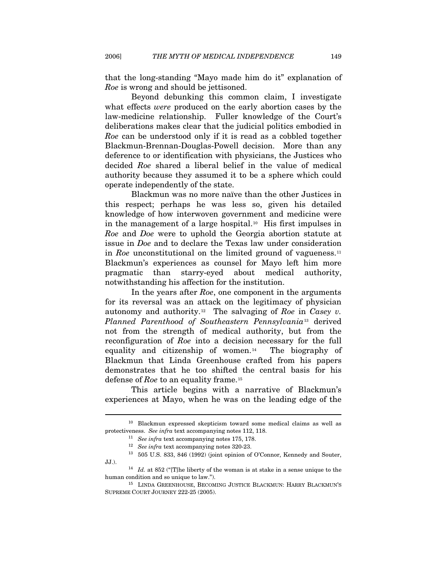that the long-standing "Mayo made him do it" explanation of *Roe* is wrong and should be jettisoned.

Beyond debunking this common claim, I investigate what effects *were* produced on the early abortion cases by the law-medicine relationship. Fuller knowledge of the Court's deliberations makes clear that the judicial politics embodied in *Roe* can be understood only if it is read as a cobbled together Blackmun-Brennan-Douglas-Powell decision. More than any deference to or identification with physicians, the Justices who decided *Roe* shared a liberal belief in the value of medical authority because they assumed it to be a sphere which could operate independently of the state.

Blackmun was no more naïve than the other Justices in this respect; perhaps he was less so, given his detailed knowledge of how interwoven government and medicine were in the management of a large hospital.<sup>[10](#page-3-0)</sup> His first impulses in *Roe* and *Doe* were to uphold the Georgia abortion statute at issue in *Doe* and to declare the Texas law under consideration in *Roe* unconstitutional on the limited ground of vagueness.<sup>[11](#page-3-1)</sup> Blackmun's experiences as counsel for Mayo left him more pragmatic than starry-eyed about medical authority, notwithstanding his affection for the institution.

In the years after *Roe*, one component in the arguments for its reversal was an attack on the legitimacy of physician autonomy and authority.[12](#page-3-2) The salvaging of *Roe* in *Casey v. Planned Parenthood of Southeastern Pennsylvania*[13](#page-3-3) derived not from the strength of medical authority, but from the reconfiguration of *Roe* into a decision necessary for the full equality and citizenship of women.<sup>[14](#page-3-4)</sup> The biography of Blackmun that Linda Greenhouse crafted from his papers demonstrates that he too shifted the central basis for his defense of *Roe* to an equality frame.[15](#page-3-5)

This article begins with a narrative of Blackmun's experiences at Mayo, when he was on the leading edge of the

<span id="page-3-1"></span><span id="page-3-0"></span><sup>10</sup> Blackmun expressed skepticism toward some medical claims as well as protectiveness. See infra text accompanying notes 112, 118.<br>
<sup>11</sup> See infra text accompanying notes 175, 178.<br>
<sup>12</sup> See infra text accompanying notes 320-23.<br>
<sup>13</sup> 505 U.S. 833, 846 (1992) (joint opinion of O'Connor, Kenn

<span id="page-3-4"></span><span id="page-3-3"></span><span id="page-3-2"></span>JJ.). 14 *Id.* at 852 ("[T]he liberty of the woman is at stake in a sense unique to the human condition and so unique to law.").<br><sup>15</sup> LINDA GREENHOUSE, BECOMING JUSTICE BLACKMUN: HARRY BLACKMUN'S

<span id="page-3-5"></span>SUPREME COURT JOURNEY 222-25 (2005).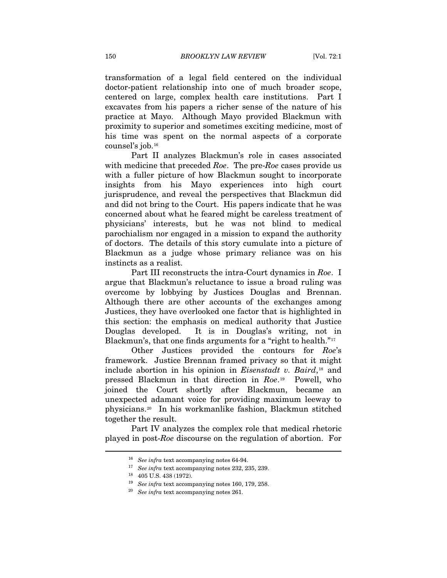transformation of a legal field centered on the individual doctor-patient relationship into one of much broader scope, centered on large, complex health care institutions. Part I excavates from his papers a richer sense of the nature of his practice at Mayo. Although Mayo provided Blackmun with proximity to superior and sometimes exciting medicine, most of his time was spent on the normal aspects of a corporate counsel's job.[16](#page-4-0)

Part II analyzes Blackmun's role in cases associated with medicine that preceded *Roe*. The pre-*Roe* cases provide us with a fuller picture of how Blackmun sought to incorporate insights from his Mayo experiences into high court jurisprudence, and reveal the perspectives that Blackmun did and did not bring to the Court. His papers indicate that he was concerned about what he feared might be careless treatment of physicians' interests, but he was not blind to medical parochialism nor engaged in a mission to expand the authority of doctors. The details of this story cumulate into a picture of Blackmun as a judge whose primary reliance was on his instincts as a realist.

Part III reconstructs the intra-Court dynamics in *Roe*. I argue that Blackmun's reluctance to issue a broad ruling was overcome by lobbying by Justices Douglas and Brennan. Although there are other accounts of the exchanges among Justices, they have overlooked one factor that is highlighted in this section: the emphasis on medical authority that Justice Douglas developed. It is in Douglas's writing, not in Blackmun's, that one finds arguments for a "right to health."<sup>[17](#page-4-1)</sup>

Other Justices provided the contours for *Roe*'s framework. Justice Brennan framed privacy so that it might include abortion in his opinion in *Eisenstadt v. Baird*,[18](#page-4-2) and pressed Blackmun in that direction in *Roe*.[19](#page-4-3) Powell, who joined the Court shortly after Blackmun, became an unexpected adamant voice for providing maximum leeway to physicians.[20](#page-4-4) In his workmanlike fashion, Blackmun stitched together the result.

<span id="page-4-4"></span><span id="page-4-3"></span><span id="page-4-2"></span><span id="page-4-1"></span><span id="page-4-0"></span>Part IV analyzes the complex role that medical rhetoric played in post-*Roe* discourse on the regulation of abortion. For

<sup>16</sup> *See infra* text accompanying notes 64-94. 17 *See infra* text accompanying notes 232, 235, 239.

<sup>18 405</sup> U.S. 438 (1972).

<sup>19</sup> *See infra* text accompanying notes 160, 179, 258. 20 *See infra* text accompanying notes 261.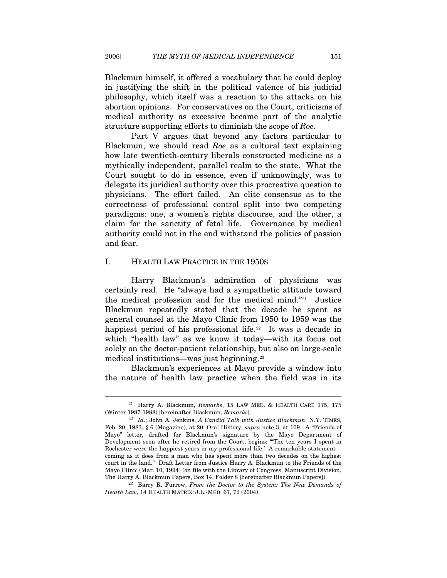Blackmun himself, it offered a vocabulary that he could deploy in justifying the shift in the political valence of his judicial philosophy, which itself was a reaction to the attacks on his abortion opinions. For conservatives on the Court, criticisms of medical authority as excessive became part of the analytic structure supporting efforts to diminish the scope of *Roe*.

Part V argues that beyond any factors particular to Blackmun, we should read *Roe* as a cultural text explaining how late twentieth-century liberals constructed medicine as a mythically independent, parallel realm to the state. What the Court sought to do in essence, even if unknowingly, was to delegate its juridical authority over this procreative question to physicians. The effort failed. An elite consensus as to the correctness of professional control split into two competing paradigms: one, a women's rights discourse, and the other, a claim for the sanctity of fetal life. Governance by medical authority could not in the end withstand the politics of passion and fear.

## I. HEALTH LAW PRACTICE IN THE 1950S

 $\overline{a}$ 

Harry Blackmun's admiration of physicians was certainly real. He "always had a sympathetic attitude toward the medical profession and for the medical mind."[21](#page-5-0) Justice Blackmun repeatedly stated that the decade he spent as general counsel at the Mayo Clinic from 1950 to 1959 was the happiest period of his professional life.<sup>[22](#page-5-1)</sup> It was a decade in which "health law" as we know it today—with its focus not solely on the doctor-patient relationship, but also on large-scale medical institutions—was just beginning.[23](#page-5-2)

Blackmun's experiences at Mayo provide a window into the nature of health law practice when the field was in its

<span id="page-5-2"></span><sup>23</sup> Barry R. Furrow, From the Doctor to the System: The New Demands of *Health Law*, 14 HEALTH MATRIX: J.L.-MED. 67, 72 (2004).

<span id="page-5-0"></span><sup>21</sup> Harry A. Blackmun, *Remarks*, 15 LAW MED. & HEALTH CARE 175, 175 (Winter 1987-1988) [hereinafter Blackmun, *Remarks*]. 22 *Id.*; John A. Jenkins, *A Candid Talk with Justice Blackmun*, N.Y. TIMES,

<span id="page-5-1"></span>Feb. 20, 1983, § 6 (Magazine), at 20; Oral History, *supra* note 3, at 109. A "Friends of Mayo" letter, drafted for Blackmun's signature by the Mayo Department of Development soon after he retired from the Court, begins: "'The ten years I spent in Rochester were the happiest years in my professional life.' A remarkable statement coming as it does from a man who has spent more than two decades on the highest court in the land." Draft Letter from Justice Harry A. Blackmun to the Friends of the Mayo Clinic (Mar. 10, 1994) (on file with the Library of Congress, Manuscript Division, The Harry A. Blackmun Papers, Box 14, Folder 8 [hereinafter Blackmun Papers]).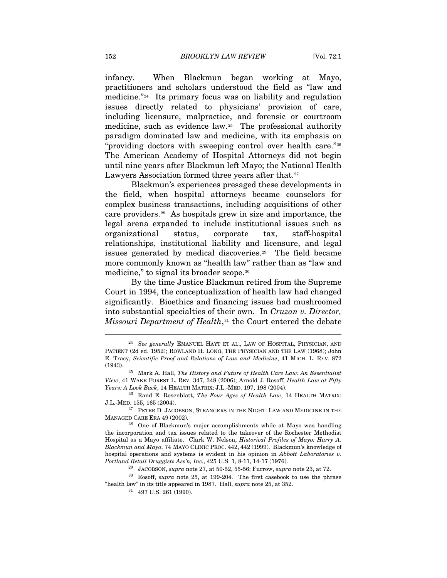infancy. When Blackmun began working at Mayo, practitioners and scholars understood the field as "law and medicine."[24](#page-6-0) Its primary focus was on liability and regulation issues directly related to physicians' provision of care, including licensure, malpractice, and forensic or courtroom medicine, such as evidence law.<sup>[25](#page-6-1)</sup> The professional authority paradigm dominated law and medicine, with its emphasis on "providing doctors with sweeping control over health care."[26](#page-6-2) The American Academy of Hospital Attorneys did not begin until nine years after Blackmun left Mayo; the National Health Lawyers Association formed three years after that.<sup>[27](#page-6-3)</sup>

Blackmun's experiences presaged these developments in the field, when hospital attorneys became counselors for complex business transactions, including acquisitions of other care providers.[28](#page-6-4) As hospitals grew in size and importance, the legal arena expanded to include institutional issues such as organizational status, corporate tax, staff-hospital relationships, institutional liability and licensure, and legal issues generated by medical discoveries.[29](#page-6-5) The field became more commonly known as "health law" rather than as "law and medicine," to signal its broader scope.[30](#page-6-6)

By the time Justice Blackmun retired from the Supreme Court in 1994, the conceptualization of health law had changed significantly. Bioethics and financing issues had mushroomed into substantial specialties of their own. In *Cruzan v. Director, Missouri Department of Health*,<sup>[31](#page-6-7)</sup> the Court entered the debate

<span id="page-6-0"></span><sup>24</sup> *See generally* EMANUEL HAYT ET AL., LAW OF HOSPITAL, PHYSICIAN, AND PATIENT (2d ed. 1952); ROWLAND H. LONG, THE PHYSICIAN AND THE LAW (1968); John E. Tracy, *Scientific Proof and Relations of Law and Medicine*, 41 MICH. L. REV. 872 (1943). 25 Mark A. Hall, *The History and Future of Health Care Law: An Essentialist* 

<span id="page-6-1"></span>*View*, 41 WAKE FOREST L. REV. 347, 348 (2006); Arnold J. Rosoff, *Health Law at Fifty Years: A Look Back*, 14 HEALTH MATRIX: J.L.-MED. 197, 198 (2004). 26 Rand E. Rosenblatt, *The Four Ages of Health Law*, 14 HEALTH MATRIX:

<span id="page-6-2"></span>J.L.-MED. 155, 165 (2004).

<span id="page-6-3"></span> $^{27}$  PETER D. JACOBSON, STRANGERS IN THE NIGHT: LAW AND MEDICINE IN THE MANAGED CARE ERA 49 (2002). 28 One of Blackmun's major accomplishments while at Mayo was handling

<span id="page-6-4"></span>the incorporation and tax issues related to the takeover of the Rochester Methodist Hospital as a Mayo affiliate. Clark W. Nelson, *Historical Profiles of Mayo: Harry A. Blackmun and Mayo*, 74 MAYO CLINIC PROC. 442, 442 (1999). Blackmun's knowledge of hospital operations and systems is evident in his opinion in *Abbott Laboratories v. Portland Retail Druggists Ass'n, Inc.,* 425 U.S. 1, 8-11, 14-17 (1976).

<span id="page-6-7"></span><span id="page-6-6"></span><span id="page-6-5"></span><sup>&</sup>lt;sup>29</sup> JACOBSON, *supra* note 27, at 50-52, 55-56; Furrow, *supra* note 23, at 72.<br><sup>30</sup> Rosoff, *supra* note 25, at 199-204. The first casebook to use the phrase "health law" in its title appeared in 1987. Hall, *supra* note 25, at 352. 31 497 U.S. 261 (1990).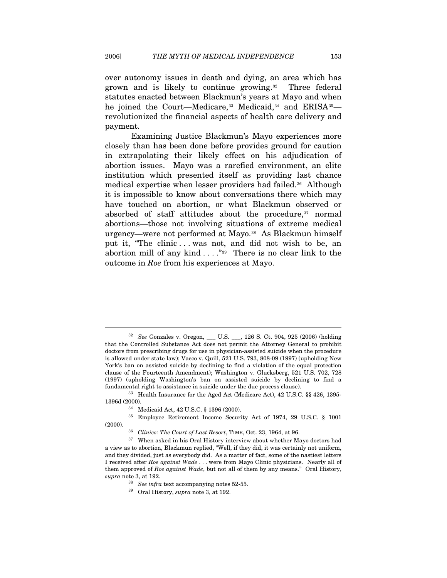over autonomy issues in death and dying, an area which has grown and is likely to continue growing.[32](#page-7-0) Three federal statutes enacted between Blackmun's years at Mayo and when he joined the Court—Medicare,<sup>[33](#page-7-1)</sup> Medicaid,<sup>[34](#page-7-2)</sup> and ERISA<sup>[35](#page-7-3)</sup> revolutionized the financial aspects of health care delivery and payment.

Examining Justice Blackmun's Mayo experiences more closely than has been done before provides ground for caution in extrapolating their likely effect on his adjudication of abortion issues. Mayo was a rarefied environment, an elite institution which presented itself as providing last chance medical expertise when lesser providers had failed.<sup>[36](#page-7-4)</sup> Although it is impossible to know about conversations there which may have touched on abortion, or what Blackmun observed or absorbed of staff attitudes about the procedure,<sup>[37](#page-7-5)</sup> normal abortions—those not involving situations of extreme medical urgency—were not performed at Mayo.<sup>[38](#page-7-6)</sup> As Blackmun himself put it, "The clinic . . . was not, and did not wish to be, an abortion mill of any kind  $\dots$ ."<sup>[39](#page-7-7)</sup> There is no clear link to the outcome in *Roe* from his experiences at Mayo.

<span id="page-7-1"></span>1396d (2000).<br><sup>34</sup> Medicaid Act, 42 U.S.C. § 1396 (2000).<br><sup>35</sup> Employee Retirement Income Securi

<span id="page-7-0"></span><sup>32</sup> *See* Gonzales v. Oregon, \_\_\_ U.S. \_\_\_, 126 S. Ct. 904, 925 (2006) (holding that the Controlled Substance Act does not permit the Attorney General to prohibit doctors from prescribing drugs for use in physician-assisted suicide when the procedure is allowed under state law); Vacco v. Quill, 521 U.S. 793, 808-09 (1997) (upholding New York's ban on assisted suicide by declining to find a violation of the equal protection clause of the Fourteenth Amendment); Washington v. Glucksberg, 521 U.S. 702, 728 (1997) (upholding Washington's ban on assisted suicide by declining to find a fundamental right to assistance in suicide under the due process clause). 33 Health Insurance for the Aged Act (Medicare Act), 42 U.S.C. §§ 426, 1395-

<span id="page-7-3"></span><span id="page-7-2"></span><sup>35</sup> Employee Retirement Income Security Act of 1974, 29 U.S.C. § 1001 % <sup>36</sup> *Clinics: The Court of Last Resort*, TIME, Oct. 23, 1964, at 96. <sup>37</sup> When asked in his Oral History interview about whether Mayo doctors had

<span id="page-7-7"></span><span id="page-7-6"></span><span id="page-7-5"></span><span id="page-7-4"></span>a view as to abortion, Blackmun replied, "Well, if they did, it was certainly not uniform, and they divided, just as everybody did. As a matter of fact, some of the nastiest letters I received after *Roe against Wade* . . . were from Mayo Clinic physicians. Nearly all of them approved of *Roe against Wade*, but not all of them by any means." Oral History, *supra* note 3, at 192. 38 *See infra* text accompanying notes 52-55. 39 Oral History, *supra* note 3, at 192.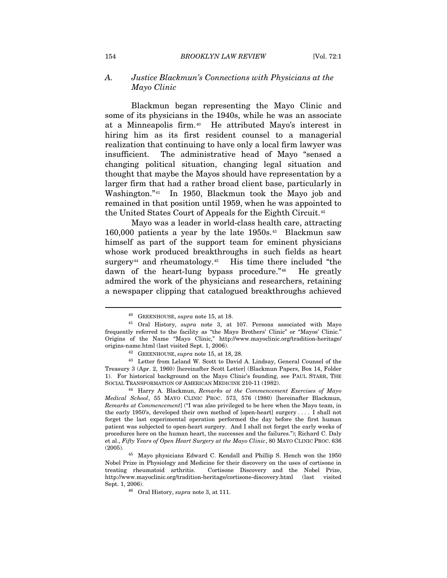## *A. Justice Blackmun's Connections with Physicians at the Mayo Clinic*

Blackmun began representing the Mayo Clinic and some of its physicians in the 1940s, while he was an associate at a Minneapolis firm.[40](#page-8-0) He attributed Mayo's interest in hiring him as its first resident counsel to a managerial realization that continuing to have only a local firm lawyer was insufficient. The administrative head of Mayo "sensed a changing political situation, changing legal situation and thought that maybe the Mayos should have representation by a larger firm that had a rather broad client base, particularly in Washington."[41](#page-8-1) In 1950, Blackmun took the Mayo job and remained in that position until 1959, when he was appointed to the United States Court of Appeals for the Eighth Circuit.[42](#page-8-2)

Mayo was a leader in world-class health care, attracting 160,000 patients a year by the late 1950s.[43](#page-8-3) Blackmun saw himself as part of the support team for eminent physicians whose work produced breakthroughs in such fields as heart surgery<sup>[44](#page-8-4)</sup> and rheumatology.<sup>[45](#page-8-5)</sup> His time there included "the dawn of the heart-lung bypass procedure."[46](#page-8-6) He greatly admired the work of the physicians and researchers, retaining a newspaper clipping that catalogued breakthroughs achieved

<span id="page-8-1"></span><span id="page-8-0"></span><sup>40</sup> GREENHOUSE, *supra* note 15, at 18. 41 Oral History, *supra* note 3, at 107. Persons associated with Mayo frequently referred to the facility as "the Mayo Brothers' Clinic" or "Mayos' Clinic." Origins of the Name "Mayo Clinic," http://www.mayoclinic.org/tradition-heritage/

<span id="page-8-3"></span><span id="page-8-2"></span>origins-name.html (last visited Sept. 1, 2006).<br><sup>42</sup> GREENHOUSE, *supra* note 15, at 18, 28.<br><sup>43</sup> Letter from Leland W. Scott to David A. Lindsay, General Counsel of the Treasury 3 (Apr. 2, 1960) [hereinafter Scott Letter] (Blackmun Papers, Box 14, Folder 1). For historical background on the Mayo Clinic's founding, see PAUL STARR, THE SOCIAL TRANSFORMATION OF AMERICAN MEDICINE 210-11 (1982). 44 Harry A. Blackmun, *Remarks at the Commencement Exercises of Mayo* 

<span id="page-8-4"></span>*Medical School*, 55 MAYO CLINIC PROC. 573, 576 (1980) [hereinafter Blackmun, *Remarks at Commencement*] ("I was also privileged to be here when the Mayo team, in the early 1950's, developed their own method of [open-heart] surgery . . . . I shall not forget the last experimental operation performed the day before the first human patient was subjected to open-heart surgery. And I shall not forget the early weeks of procedures here on the human heart, the successes and the failures."); Richard C. Daly et al., *Fifty Years of Open Heart Surgery at the Mayo Clinic*, 80 MAYO CLINIC PROC. 636 (2005). 45 Mayo physicians Edward C. Kendall and Phillip S. Hench won the 1950

<span id="page-8-6"></span><span id="page-8-5"></span>Nobel Prize in Physiology and Medicine for their discovery on the uses of cortisone in treating rheumatoid arthritis. Cortisone Discovery and the Nobel Prize, http://www.mayoclinic.org/tradition-heritage/cortisone-discovery.html (last visited

<sup>&</sup>lt;sup>46</sup> Oral History, *supra* note 3, at 111.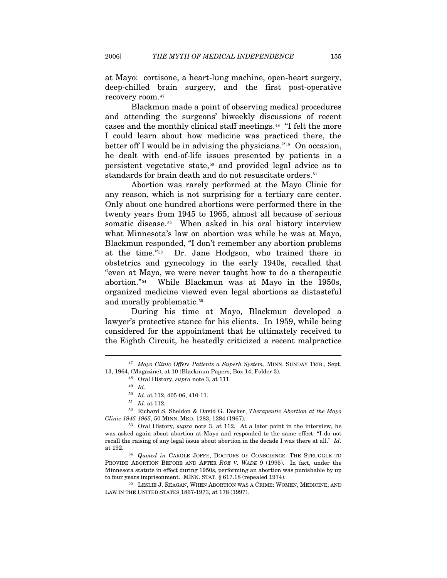at Mayo: cortisone, a heart-lung machine, open-heart surgery, deep-chilled brain surgery, and the first post-operative recovery room.[47](#page-9-0)

Blackmun made a point of observing medical procedures and attending the surgeons' biweekly discussions of recent cases and the monthly clinical staff meetings.[48](#page-9-1) "I felt the more I could learn about how medicine was practiced there, the better off I would be in advising the physicians."[49](#page-9-2) On occasion, he dealt with end-of-life issues presented by patients in a persistent vegetative state,[50](#page-9-3) and provided legal advice as to standards for brain death and do not resuscitate orders.<sup>[51](#page-9-4)</sup>

Abortion was rarely performed at the Mayo Clinic for any reason, which is not surprising for a tertiary care center. Only about one hundred abortions were performed there in the twenty years from 1945 to 1965, almost all because of serious somatic disease.<sup>[52](#page-9-5)</sup> When asked in his oral history interview what Minnesota's law on abortion was while he was at Mayo, Blackmun responded, "I don't remember any abortion problems at the time."[53](#page-9-6) Dr. Jane Hodgson, who trained there in obstetrics and gynecology in the early 1940s, recalled that "even at Mayo, we were never taught how to do a therapeutic abortion."[54](#page-9-7) While Blackmun was at Mayo in the 1950s, organized medicine viewed even legal abortions as distasteful and morally problematic.<sup>[55](#page-9-8)</sup>

During his time at Mayo, Blackmun developed a lawyer's protective stance for his clients. In 1959, while being considered for the appointment that he ultimately received to the Eighth Circuit, he heatedly criticized a recent malpractice

<span id="page-9-0"></span><sup>47</sup> *Mayo Clinic Offers Patients a Superb System*, MINN. SUNDAY TRIB., Sept. 13, 1964, (Magazine), at 10 (Blackmun Papers, Box 14, Folder 3). 48 Oral History, *supra* note 3, at 111.

<sup>49</sup> *Id.*

<span id="page-9-5"></span><span id="page-9-4"></span><span id="page-9-3"></span><span id="page-9-2"></span><span id="page-9-1"></span> $^{50}$  *Id.* at 112, 405-06, 410-11.<br><sup>51</sup> *Id.* at 112.<br><sup>52</sup> Richard S. Sheldon & David G. Decker, *Therapeutic Abortion at the Mayo Clinic 1945-1965*, 50 MINN. MED. 1283, 1284 (1967).

<span id="page-9-6"></span><sup>&</sup>lt;sup>53</sup> Oral History, *supra* note 3, at 112. At a later point in the interview, he was asked again about abortion at Mayo and responded to the same effect: "I do not recall the raising of any legal issue about abortion in the decade I was there at all." *Id.* at 192. 54 *Quoted in* CAROLE JOFFE, DOCTORS OF CONSCIENCE: THE STRUGGLE TO

<span id="page-9-7"></span>PROVIDE ABORTION BEFORE AND AFTER *ROE V. WADE* 9 (1995). In fact, under the Minnesota statute in effect during 1950s, performing an abortion was punishable by up to four years imprisonment. MINN. STAT. § 617.18 (repealed 1974). 55 LESLIE J. REAGAN, WHEN ABORTION WAS A CRIME: WOMEN, MEDICINE, AND

<span id="page-9-8"></span>LAW IN THE UNITED STATES 1867-1973, at 178 (1997).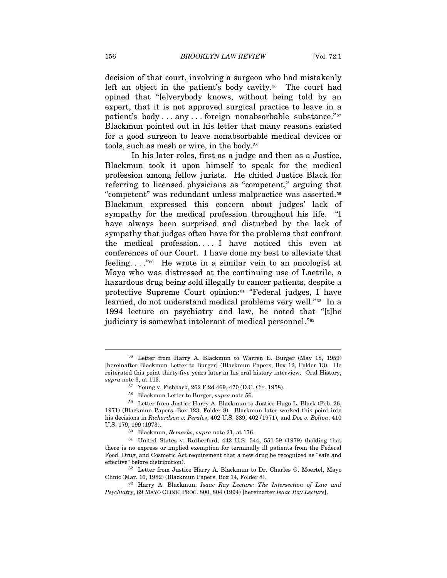decision of that court, involving a surgeon who had mistakenly left an object in the patient's body cavity.<sup>[56](#page-10-0)</sup> The court had opined that "[e]verybody knows, without being told by an expert, that it is not approved surgical practice to leave in a patient's body . . . any . . . foreign nonabsorbable substance."<sup>[57](#page-10-1)</sup> Blackmun pointed out in his letter that many reasons existed for a good surgeon to leave nonabsorbable medical devices or tools, such as mesh or wire, in the body.<sup>[58](#page-10-2)</sup>

In his later roles, first as a judge and then as a Justice, Blackmun took it upon himself to speak for the medical profession among fellow jurists. He chided Justice Black for referring to licensed physicians as "competent," arguing that "competent" was redundant unless malpractice was asserted.[59](#page-10-3) Blackmun expressed this concern about judges' lack of sympathy for the medical profession throughout his life. "I have always been surprised and disturbed by the lack of sympathy that judges often have for the problems that confront the medical profession. . . . I have noticed this even at conferences of our Court. I have done my best to alleviate that feeling...."<sup>[60](#page-10-4)</sup> He wrote in a similar vein to an oncologist at Mayo who was distressed at the continuing use of Laetrile, a hazardous drug being sold illegally to cancer patients, despite a protective Supreme Court opinion:[61](#page-10-5) "Federal judges, I have learned, do not understand medical problems very well."[62](#page-10-6) In a 1994 lecture on psychiatry and law, he noted that "[t]he judiciary is somewhat intolerant of medical personnel."<sup>[63](#page-10-7)</sup>

<span id="page-10-0"></span><sup>56</sup> Letter from Harry A. Blackmun to Warren E. Burger (May 18, 1959) [hereinafter Blackmun Letter to Burger] (Blackmun Papers, Box 12, Folder 13). He reiterated this point thirty-five years later in his oral history interview. Oral History, *supra* note 3, at 113. 57 Young v. Fishback, 262 F.2d 469, 470 (D.C. Cir. 1958).

<span id="page-10-3"></span><span id="page-10-2"></span><span id="page-10-1"></span><sup>&</sup>lt;sup>58</sup> Blackmun Letter to Burger, *supra* note 56.<br><sup>59</sup> Letter from Justice Harry A. Blackmun to Justice Hugo L. Black (Feb. 26, 1971) (Blackmun Papers, Box 123, Folder 8). Blackmun later worked this point into his decisions in *Richardson v. Perales*, 402 U.S. 389, 402 (1971), and *Doe v. Bolton*, 410

<span id="page-10-5"></span><span id="page-10-4"></span> $^{60}$  Blackmun,  $Remarks, supra$  note 21, at 176.  $^{61}$  United States v. Rutherford, 442 U.S. 544, 551-59 (1979) (holding that there is no express or implied exemption for terminally ill patients from the Federal Food, Drug, and Cosmetic Act requirement that a new drug be recognized as "safe and

<span id="page-10-6"></span>effective" before distribution).<br><sup>62</sup> Letter from Justice Harry A. Blackmun to Dr. Charles G. Moertel, Mayo<br>Clinic (Mar. 16, 1982) (Blackmun Papers, Box 14, Folder 8).

<span id="page-10-7"></span><sup>&</sup>lt;sup>63</sup> Harry A. Blackmun, Isaac Ray Lecture: The Intersection of Law and *Psychiatry*, 69 MAYO CLINIC PROC. 800, 804 (1994) [hereinafter *Isaac Ray Lecture*].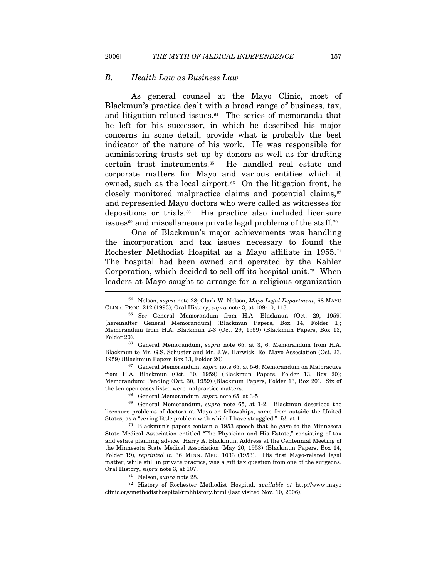#### *B. Health Law as Business Law*

As general counsel at the Mayo Clinic, most of Blackmun's practice dealt with a broad range of business, tax, and litigation-related issues. $64$  The series of memoranda that he left for his successor, in which he described his major concerns in some detail, provide what is probably the best indicator of the nature of his work. He was responsible for administering trusts set up by donors as well as for drafting certain trust instruments.[65](#page-11-1) He handled real estate and corporate matters for Mayo and various entities which it owned, such as the local airport. $66$  On the litigation front, he closely monitored malpractice claims and potential claims, $67$ and represented Mayo doctors who were called as witnesses for depositions or trials.[68](#page-11-4) His practice also included licensure issues<sup>[69](#page-11-5)</sup> and miscellaneous private legal problems of the staff.<sup>[70](#page-11-6)</sup>

One of Blackmun's major achievements was handling the incorporation and tax issues necessary to found the Rochester Methodist Hospital as a Mayo affiliate in 1955.[71](#page-11-7) The hospital had been owned and operated by the Kahler Corporation, which decided to sell off its hospital unit.<sup>[72](#page-11-8)</sup> When leaders at Mayo sought to arrange for a religious organization I

<span id="page-11-2"></span>Blackmun to Mr. G.S. Schuster and Mr. J.W. Harwick, Re: Mayo Association (Oct. 23, 1959) (Blackmun Papers Box 13, Folder 20). 67 General Memorandum, *supra* note 65, at 5-6; Memorandum on Malpractice

<span id="page-11-3"></span>from H.A. Blackmun (Oct. 30, 1959) (Blackmun Papers, Folder 13, Box 20); Memorandum: Pending (Oct. 30, 1959) (Blackmun Papers, Folder 13, Box 20). Six of the ten open cases listed were malpractice matters.<br><sup>68</sup> General Memorandum, *supra* note 65, at 3-5.<br><sup>69</sup> General Memorandum, *supra* note 65, at 1-2. Blackmun described the

<span id="page-11-5"></span><span id="page-11-4"></span>licensure problems of doctors at Mayo on fellowships, some from outside the United States, as a "vexing little problem with which I have struggled." *Id.* at 1. 70 Blackmun's papers contain a 1953 speech that he gave to the Minnesota

<span id="page-11-6"></span>State Medical Association entitled "The Physician and His Estate," consisting of tax and estate planning advice. Harry A. Blackmun, Address at the Centennial Meeting of the Minnesota State Medical Association (May 20, 1953) (Blackmun Papers, Box 14, Folder 19), *reprinted in* 36 MINN. MED. 1033 (1953). His first Mayo-related legal matter, while still in private practice, was a gift tax question from one of the surgeons.

<span id="page-11-8"></span><span id="page-11-7"></span>Oral History, *supra* note 3, at 107. 71 Nelson, *supra* note 28. 72 History of Rochester Methodist Hospital, *available at* http://www.mayo clinic.org/methodisthospital/rmhhistory.html (last visited Nov. 10, 2006).

<span id="page-11-0"></span><sup>64</sup> Nelson, *supra* note 28; Clark W. Nelson, *Mayo Legal Department*, 68 MAYO CLINIC PROC. 212 (1993); Oral History, *supra* note 3, at 109-10, 113. 65 *See* General Memorandum from H.A. Blackmun (Oct. 29, 1959)

<span id="page-11-1"></span><sup>[</sup>hereinafter General Memorandum] (Blackmun Papers, Box 14, Folder 1); Memorandum from H.A. Blackmun 2-3 (Oct. 29, 1959) (Blackmun Papers, Box 13, Folder 20). 66 General Memorandum, *supra* note 65, at 3, 6; Memorandum from H.A.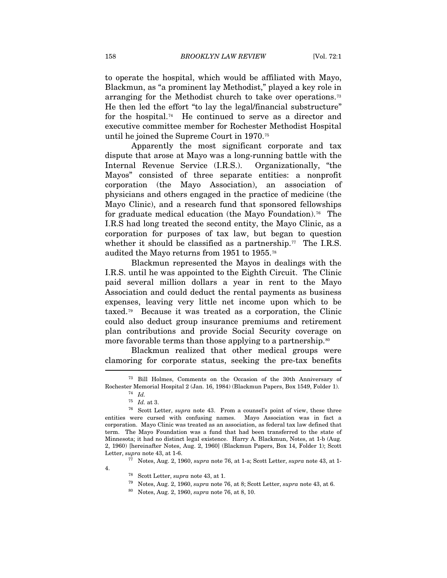to operate the hospital, which would be affiliated with Mayo, Blackmun, as "a prominent lay Methodist," played a key role in arranging for the Methodist church to take over operations.[73](#page-12-0) He then led the effort "to lay the legal/financial substructure" for the hospital.[74](#page-12-1) He continued to serve as a director and executive committee member for Rochester Methodist Hospital until he joined the Supreme Court in 1970.[75](#page-12-2)

Apparently the most significant corporate and tax dispute that arose at Mayo was a long-running battle with the Internal Revenue Service (I.R.S.). Organizationally, "the Mayos" consisted of three separate entities: a nonprofit corporation (the Mayo Association), an association of physicians and others engaged in the practice of medicine (the Mayo Clinic), and a research fund that sponsored fellowships for graduate medical education (the Mayo Foundation).<sup>[76](#page-12-3)</sup> The I.R.S had long treated the second entity, the Mayo Clinic, as a corporation for purposes of tax law, but began to question whether it should be classified as a partnership.<sup>[77](#page-12-4)</sup> The I.R.S. audited the Mayo returns from 1951 to 1955.[78](#page-12-5)

Blackmun represented the Mayos in dealings with the I.R.S. until he was appointed to the Eighth Circuit. The Clinic paid several million dollars a year in rent to the Mayo Association and could deduct the rental payments as business expenses, leaving very little net income upon which to be taxed.[79](#page-12-6) Because it was treated as a corporation, the Clinic could also deduct group insurance premiums and retirement plan contributions and provide Social Security coverage on more favorable terms than those applying to a partnership.<sup>[80](#page-12-7)</sup>

Blackmun realized that other medical groups were clamoring for corporate status, seeking the pre-tax benefits  $\overline{\phantom{a}}$ 

<span id="page-12-0"></span><sup>73</sup> Bill Holmes, Comments on the Occasion of the 30th Anniversary of Rochester Memorial Hospital 2 (Jan. 16, 1984) (Blackmun Papers, Box 1549, Folder 1). 74 *Id.*

<span id="page-12-3"></span><span id="page-12-2"></span><span id="page-12-1"></span><sup>&</sup>lt;sup>76</sup> Scott Letter, *supra* note 43. From a counsel's point of view, these three entities were cursed with confusing names. Mayo Association was in fact a corporation. Mayo Clinic was treated as an association, as federal tax law defined that term. The Mayo Foundation was a fund that had been transferred to the state of Minnesota; it had no distinct legal existence. Harry A. Blackmun, Notes, at 1-b (Aug. 2, 1960) [hereinafter Notes, Aug. 2, 1960] (Blackmun Papers, Box 14, Folder 1); Scott Letter, *supra* note 43, at 1-6. 77 Notes, Aug. 2, 1960, *supra* note 76, at 1-a; Scott Letter, *supra* note 43, at 1-

<span id="page-12-7"></span><span id="page-12-6"></span><span id="page-12-5"></span><span id="page-12-4"></span><sup>4. 78</sup> Scott Letter, *supra* note 43, at 1. 79 Notes, Aug. 2, 1960, *supra* note 76, at 8; Scott Letter, *supra* note 43, at 6. 80 Notes, Aug. 2, 1960, *supra* note 76, at 8, 10.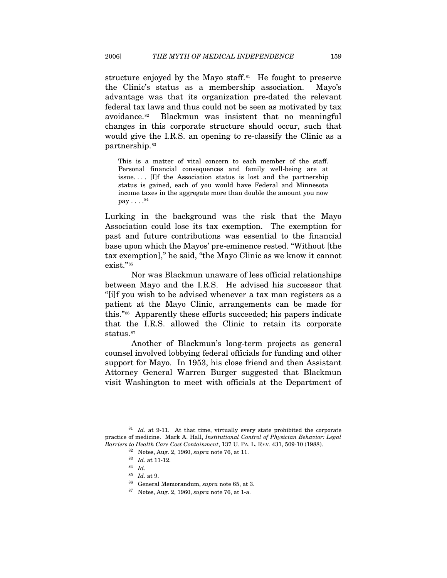structure enjoyed by the Mayo staff. $81$  He fought to preserve the Clinic's status as a membership association. Mayo's advantage was that its organization pre-dated the relevant federal tax laws and thus could not be seen as motivated by tax avoidance.[82](#page-13-1) Blackmun was insistent that no meaningful changes in this corporate structure should occur, such that would give the I.R.S. an opening to re-classify the Clinic as a partnership.<sup>[83](#page-13-2)</sup>

This is a matter of vital concern to each member of the staff. Personal financial consequences and family well-being are at issue. . . . [I]f the Association status is lost and the partnership status is gained, each of you would have Federal and Minnesota income taxes in the aggregate more than double the amount you now  $pay \ldots$ .<sup>[84](#page-13-3)</sup>

Lurking in the background was the risk that the Mayo Association could lose its tax exemption. The exemption for past and future contributions was essential to the financial base upon which the Mayos' pre-eminence rested. "Without [the tax exemption]," he said, "the Mayo Clinic as we know it cannot exist."[85](#page-13-4)

Nor was Blackmun unaware of less official relationships between Mayo and the I.R.S. He advised his successor that "[i]f you wish to be advised whenever a tax man registers as a patient at the Mayo Clinic, arrangements can be made for this."[86](#page-13-5) Apparently these efforts succeeded; his papers indicate that the I.R.S. allowed the Clinic to retain its corporate status.<sup>[87](#page-13-6)</sup>

Another of Blackmun's long-term projects as general counsel involved lobbying federal officials for funding and other support for Mayo. In 1953, his close friend and then Assistant Attorney General Warren Burger suggested that Blackmun visit Washington to meet with officials at the Department of

 $\overline{a}$ 

<sup>85</sup> *Id.* at 9. 86 General Memorandum, *supra* note 65, at 3. 87 Notes, Aug. 2, 1960, *supra* note 76, at 1-a.

<span id="page-13-6"></span><span id="page-13-5"></span><span id="page-13-4"></span><span id="page-13-3"></span><span id="page-13-2"></span><span id="page-13-1"></span><span id="page-13-0"></span><sup>&</sup>lt;sup>81</sup> *Id.* at 9-11. At that time, virtually every state prohibited the corporate practice of medicine. Mark A. Hall, *Institutional Control of Physician Behavior: Legal Barriers to Health Care Cost Containment*, 137 U. PA. L. REV. 431, 509-10 (1988).<br><sup>82</sup> Notes, Aug. 2, 1960, *supra* note 76, at 11.<br><sup>83</sup> *Id.* at 11-12.<br><sup>84</sup> *Id.*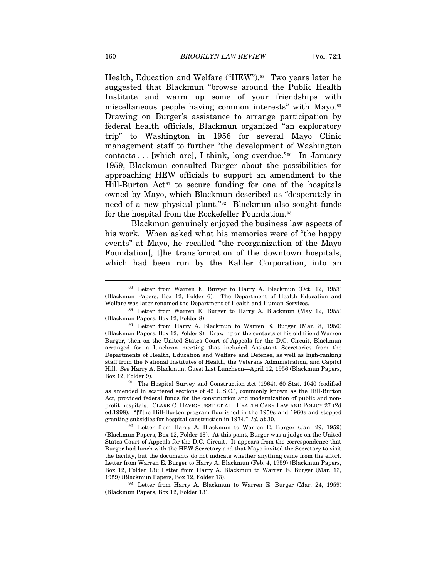Health, Education and Welfare ("HEW").<sup>[88](#page-14-0)</sup> Two years later he suggested that Blackmun "browse around the Public Health Institute and warm up some of your friendships with miscellaneous people having common interests" with Mayo.<sup>[89](#page-14-1)</sup> Drawing on Burger's assistance to arrange participation by federal health officials, Blackmun organized "an exploratory trip" to Washington in 1956 for several Mayo Clinic management staff to further "the development of Washington contacts  $\dots$  [which are], I think, long overdue."<sup>[90](#page-14-2)</sup> In January 1959, Blackmun consulted Burger about the possibilities for approaching HEW officials to support an amendment to the Hill-Burton Act<sup>[91](#page-14-3)</sup> to secure funding for one of the hospitals owned by Mayo, which Blackmun described as "desperately in need of a new physical plant."[92](#page-14-4) Blackmun also sought funds for the hospital from the Rockefeller Foundation.<sup>[93](#page-14-5)</sup>

Blackmun genuinely enjoyed the business law aspects of his work. When asked what his memories were of "the happy events" at Mayo, he recalled "the reorganization of the Mayo Foundation[, t]he transformation of the downtown hospitals, which had been run by the Kahler Corporation, into an

<span id="page-14-0"></span><sup>88</sup> Letter from Warren E. Burger to Harry A. Blackmun (Oct. 12, 1953) (Blackmun Papers, Box 12, Folder 6). The Department of Health Education and Welfare was later renamed the Department of Health and Human Services. 89 Letter from Warren E. Burger to Harry A. Blackmun (May 12, 1955)

<span id="page-14-1"></span><sup>(</sup>Blackmun Papers, Box 12, Folder 8). 90 Letter from Harry A. Blackmun to Warren E. Burger (Mar. 8, 1956)

<span id="page-14-2"></span><sup>(</sup>Blackmun Papers, Box 12, Folder 9). Drawing on the contacts of his old friend Warren Burger, then on the United States Court of Appeals for the D.C. Circuit, Blackmun arranged for a luncheon meeting that included Assistant Secretaries from the Departments of Health, Education and Welfare and Defense, as well as high-ranking staff from the National Institutes of Health, the Veterans Administration, and Capitol Hill. *See* Harry A. Blackmun, Guest List Luncheon—April 12, 1956 (Blackmun Papers, Box 12, Folder 9). 91 The Hospital Survey and Construction Act (1964), 60 Stat. 1040 (codified

<span id="page-14-3"></span>as amended in scattered sections of 42 U.S.C.), commonly known as the Hill-Burton Act, provided federal funds for the construction and modernization of public and nonprofit hospitals. CLARK C. HAVIGHURST ET AL., HEALTH CARE LAW AND POLICY 27 (2d ed.1998). "[T]he Hill-Burton program flourished in the 1950s and 1960s and stopped

<span id="page-14-4"></span>granting subsidies for hospital construction in 1974." *Id.* at 30.<br><sup>92</sup> Letter from Harry A. Blackmun to Warren E. Burger (Jan. 29, 1959) (Blackmun Papers, Box 12, Folder 13). At this point, Burger was a judge on the United States Court of Appeals for the D.C. Circuit. It appears from the correspondence that Burger had lunch with the HEW Secretary and that Mayo invited the Secretary to visit the facility, but the documents do not indicate whether anything came from the effort. Letter from Warren E. Burger to Harry A. Blackmun (Feb. 4, 1959) (Blackmun Papers, Box 12, Folder 13); Letter from Harry A. Blackmun to Warren E. Burger (Mar. 13, 1959) (Blackmun Papers, Box 12, Folder 13). 93 Letter from Harry A. Blackmun to Warren E. Burger (Mar. 24, 1959)

<span id="page-14-5"></span><sup>(</sup>Blackmun Papers, Box 12, Folder 13).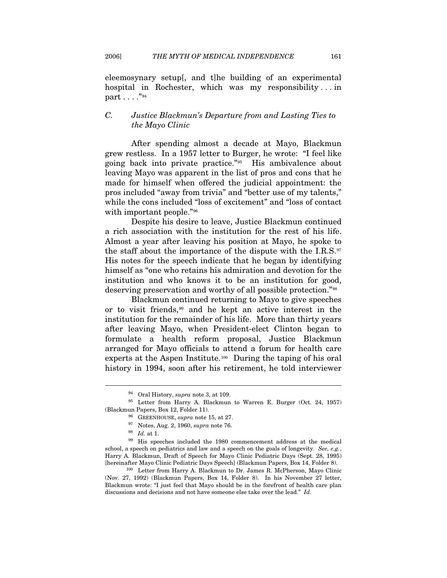eleemosynary setup[, and t]he building of an experimental hospital in Rochester, which was my responsibility . . . in part . . . ."[94](#page-15-0)

## *C. Justice Blackmun's Departure from and Lasting Ties to the Mayo Clinic*

After spending almost a decade at Mayo, Blackmun grew restless. In a 1957 letter to Burger, he wrote: "I feel like going back into private practice."[95](#page-15-1) His ambivalence about leaving Mayo was apparent in the list of pros and cons that he made for himself when offered the judicial appointment: the pros included "away from trivia" and "better use of my talents," while the cons included "loss of excitement" and "loss of contact with important people."<sup>[96](#page-15-2)</sup>

Despite his desire to leave, Justice Blackmun continued a rich association with the institution for the rest of his life. Almost a year after leaving his position at Mayo, he spoke to the staff about the importance of the dispute with the I.R.S. $97$ His notes for the speech indicate that he began by identifying himself as "one who retains his admiration and devotion for the institution and who knows it to be an institution for good, deserving preservation and worthy of all possible protection."[98](#page-15-4)

Blackmun continued returning to Mayo to give speeches or to visit friends,[99](#page-15-5) and he kept an active interest in the institution for the remainder of his life. More than thirty years after leaving Mayo, when President-elect Clinton began to formulate a health reform proposal, Justice Blackmun arranged for Mayo officials to attend a forum for health care experts at the Aspen Institute.<sup>[100](#page-15-6)</sup> During the taping of his oral history in 1994, soon after his retirement, he told interviewer

<span id="page-15-2"></span><span id="page-15-1"></span><span id="page-15-0"></span><sup>&</sup>lt;sup>94</sup> Oral History, *supra* note 3, at 109.<br><sup>95</sup> Letter from Harry A. Blackmun to Warren E. Burger (Oct. 24, 1957) % GREENHOUSE, *supra* note 15, at 27. 97 Notes, Aug. 2, 1960, *supra* note 76. 98 *Id.* at 1. 99 His speeches included the 1980 commencement address at the medical

<span id="page-15-5"></span><span id="page-15-4"></span><span id="page-15-3"></span>school, a speech on pediatrics and law and a speech on the goals of longevity. *See, e.g.*, Harry A. Blackmun, Draft of Speech for Mayo Clinic Pediatric Days (Sept. 28, 1995) [hereinafter Mayo Clinic Pediatric Days Speech] (Blackmun Papers, Box 14, Folder 8). 100 Letter from Harry A. Blackmun to Dr. James R. McPherson, Mayo Clinic

<span id="page-15-6"></span><sup>(</sup>Nov. 27, 1992) (Blackmun Papers, Box 14, Folder 8). In his November 27 letter, Blackmun wrote: "I just feel that Mayo should be in the forefront of health care plan discussions and decisions and not have someone else take over the lead." *Id.*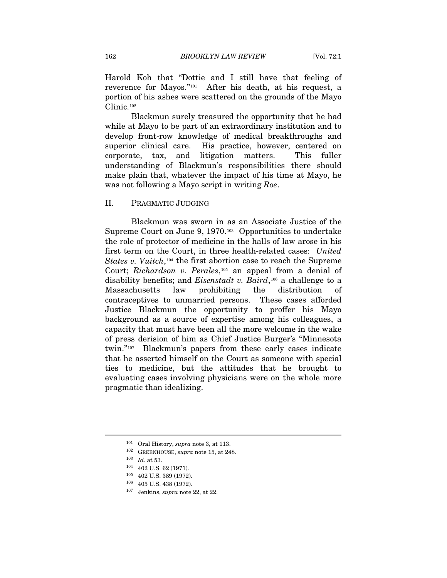Harold Koh that "Dottie and I still have that feeling of reverence for Mayos."[101](#page-16-0) After his death, at his request, a portion of his ashes were scattered on the grounds of the Mayo Clinic.[102](#page-16-1)

Blackmun surely treasured the opportunity that he had while at Mayo to be part of an extraordinary institution and to develop front-row knowledge of medical breakthroughs and superior clinical care. His practice, however, centered on corporate, tax, and litigation matters. This fuller understanding of Blackmun's responsibilities there should make plain that, whatever the impact of his time at Mayo, he was not following a Mayo script in writing *Roe*.

## II. PRAGMATIC JUDGING

Blackmun was sworn in as an Associate Justice of the Supreme Court on June 9, 1970.[103](#page-16-2) Opportunities to undertake the role of protector of medicine in the halls of law arose in his first term on the Court, in three health-related cases: *United States v. Vuitch*,[104](#page-16-3) the first abortion case to reach the Supreme Court; *Richardson v. Perales*,<sup>[105](#page-16-4)</sup> an appeal from a denial of disability benefits; and *Eisenstadt v. Baird*,[106](#page-16-5) a challenge to a Massachusetts law prohibiting the distribution of contraceptives to unmarried persons. These cases afforded Justice Blackmun the opportunity to proffer his Mayo background as a source of expertise among his colleagues, a capacity that must have been all the more welcome in the wake of press derision of him as Chief Justice Burger's "Minnesota twin."[107](#page-16-6) Blackmun's papers from these early cases indicate that he asserted himself on the Court as someone with special ties to medicine, but the attitudes that he brought to evaluating cases involving physicians were on the whole more pragmatic than idealizing.

<span id="page-16-2"></span><span id="page-16-1"></span><span id="page-16-0"></span>

<sup>101</sup> Oral History, *supra* note 3, at 113.<br>
<sup>102</sup> GREENHOUSE, *supra* note 15, at 248.<br>
<sup>103</sup> *Id.* at 53.<br>
<sup>104</sup> 402 U.S. 62 (1971).

<span id="page-16-6"></span><span id="page-16-5"></span><span id="page-16-4"></span><span id="page-16-3"></span><sup>105 402</sup> U.S. 389 (1972). 106 405 U.S. 438 (1972). 107 Jenkins, *supra* note 22, at 22.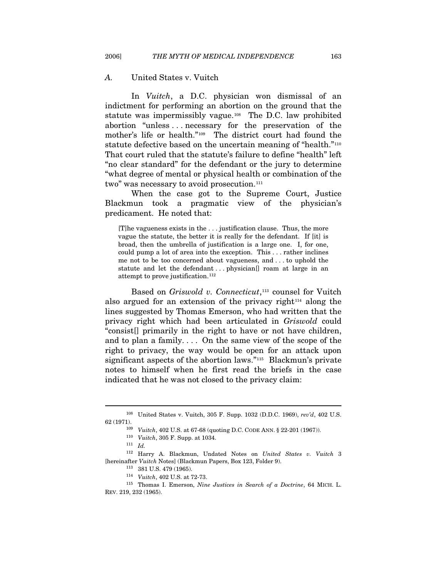#### *A.* United States v. Vuitch

In *Vuitch*, a D.C. physician won dismissal of an indictment for performing an abortion on the ground that the statute was impermissibly vague.[108](#page-17-0) The D.C. law prohibited abortion "unless . . . necessary for the preservation of the mother's life or health."[109](#page-17-1) The district court had found the statute defective based on the uncertain meaning of "health."<sup>[110](#page-17-2)</sup> That court ruled that the statute's failure to define "health" left "no clear standard" for the defendant or the jury to determine "what degree of mental or physical health or combination of the two" was necessary to avoid prosecution.<sup>[111](#page-17-3)</sup>

When the case got to the Supreme Court, Justice Blackmun took a pragmatic view of the physician's predicament. He noted that:

[T]he vagueness exists in the . . . justification clause. Thus, the more vague the statute, the better it is really for the defendant. If [it] is broad, then the umbrella of justification is a large one. I, for one, could pump a lot of area into the exception. This . . . rather inclines me not to be too concerned about vagueness, and . . . to uphold the statute and let the defendant . . . physician[] roam at large in an attempt to prove justification.<sup>112</sup>

Based on *Griswold v. Connecticut*,<sup>[113](#page-17-5)</sup> counsel for Vuitch also argued for an extension of the privacy right<sup>[114](#page-17-6)</sup> along the lines suggested by Thomas Emerson, who had written that the privacy right which had been articulated in *Griswold* could "consist[] primarily in the right to have or not have children, and to plan a family. . . . On the same view of the scope of the right to privacy, the way would be open for an attack upon significant aspects of the abortion laws."[115](#page-17-7) Blackmun's private notes to himself when he first read the briefs in the case indicated that he was not closed to the privacy claim:

<span id="page-17-1"></span><span id="page-17-0"></span><sup>108</sup> United States v. Vuitch, 305 F. Supp. 1032 (D.D.C. 1969), *rev'd*, 402 U.S. 62 (1971). <sup>109</sup> *Vuitch*, 402 U.S. at 67-68 (quoting D.C. CODE ANN. § 22-201 (1967)). <sup>110</sup> *Vuitch*, 305 F. Supp. at 1034. <sup>111</sup> *Id* 

<span id="page-17-4"></span><span id="page-17-3"></span><span id="page-17-2"></span><sup>112</sup> Harry A. Blackmun, Undated Notes on *United States v. Vuitch* 3 [hereinafter *Vuitch* Notes] (Blackmun Papers, Box 123, Folder 9).

<span id="page-17-7"></span><span id="page-17-6"></span><span id="page-17-5"></span><sup>113 381</sup> U.S. 479 (1965). 114 *Vuitch*, 402 U.S. at 72-73. 115 Thomas I. Emerson, *Nine Justices in Search of a Doctrine*, 64 MICH. L. REV. 219, 232 (1965).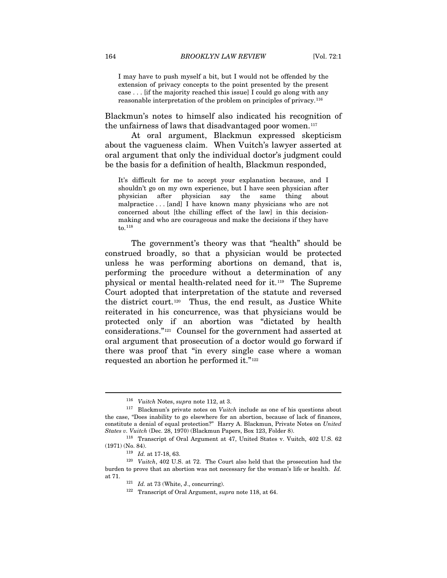I may have to push myself a bit, but I would not be offended by the extension of privacy concepts to the point presented by the present case . . . [if the majority reached this issue] I could go along with any reasonable interpretation of the problem on principles of privacy.[116](#page-18-0)

Blackmun's notes to himself also indicated his recognition of the unfairness of laws that disadvantaged poor women.[117](#page-18-1)

At oral argument, Blackmun expressed skepticism about the vagueness claim. When Vuitch's lawyer asserted at oral argument that only the individual doctor's judgment could be the basis for a definition of health, Blackmun responded,

It's difficult for me to accept your explanation because, and I shouldn't go on my own experience, but I have seen physician after physician after physician say the same thing about malpractice . . . [and] I have known many physicians who are not concerned about [the chilling effect of the law] in this decisionmaking and who are courageous and make the decisions if they have to.[118](#page-18-2)

The government's theory was that "health" should be construed broadly, so that a physician would be protected unless he was performing abortions on demand, that is, performing the procedure without a determination of any physical or mental health-related need for it.[119](#page-18-3) The Supreme Court adopted that interpretation of the statute and reversed the district court.[120](#page-18-4) Thus, the end result, as Justice White reiterated in his concurrence, was that physicians would be protected only if an abortion was "dictated by health considerations."[121](#page-18-5) Counsel for the government had asserted at oral argument that prosecution of a doctor would go forward if there was proof that "in every single case where a woman requested an abortion he performed it."[122](#page-18-6)

<span id="page-18-1"></span><span id="page-18-0"></span><sup>&</sup>lt;sup>116</sup> *Vuitch* Notes, *supra* note 112, at 3.<br><sup>117</sup> Blackmun's private notes on *Vuitch* include as one of his questions about the case, "Does inability to go elsewhere for an abortion, because of lack of finances, constitute a denial of equal protection?" Harry A. Blackmun, Private Notes on *United* 

<span id="page-18-2"></span>*States v. Vuitch* (Dec. 28, 1970) (Blackmun Papers, Box 123, Folder 8). 118 Transcript of Oral Argument at 47, United States v. Vuitch, 402 U.S. 62 (1971) (No. 84).

<sup>119</sup> *Id.* at 17-18, 63.

<span id="page-18-6"></span><span id="page-18-5"></span><span id="page-18-4"></span><span id="page-18-3"></span><sup>120</sup> *Vuitch*, 402 U.S. at 72. The Court also held that the prosecution had the burden to prove that an abortion was not necessary for the woman's life or health. *Id.* at 71. 121 *Id.* at 73 (White, J., concurring). 122 Transcript of Oral Argument, *supra* note 118, at 64.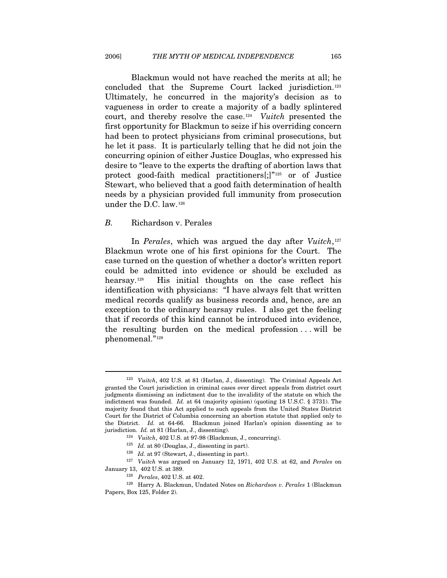Blackmun would not have reached the merits at all; he concluded that the Supreme Court lacked jurisdiction.[123](#page-19-0) Ultimately, he concurred in the majority's decision as to vagueness in order to create a majority of a badly splintered court, and thereby resolve the case.[124](#page-19-1) *Vuitch* presented the first opportunity for Blackmun to seize if his overriding concern had been to protect physicians from criminal prosecutions, but he let it pass. It is particularly telling that he did not join the concurring opinion of either Justice Douglas, who expressed his desire to "leave to the experts the drafting of abortion laws that protect good-faith medical practitioners[;]"<sup>[125](#page-19-2)</sup> or of Justice Stewart, who believed that a good faith determination of health needs by a physician provided full immunity from prosecution under the D.C. law.[126](#page-19-3)

## *B.* Richardson v. Perales

 $\overline{a}$ 

In *Perales*, which was argued the day after *Vuitch*,<sup>[127](#page-19-4)</sup> Blackmun wrote one of his first opinions for the Court. The case turned on the question of whether a doctor's written report could be admitted into evidence or should be excluded as hearsay.[128](#page-19-5) His initial thoughts on the case reflect his identification with physicians: "I have always felt that written medical records qualify as business records and, hence, are an exception to the ordinary hearsay rules. I also get the feeling that if records of this kind cannot be introduced into evidence, the resulting burden on the medical profession . . . will be phenomenal."[129](#page-19-6)

<span id="page-19-0"></span><sup>123</sup> *Vuitch*, 402 U.S. at 81 (Harlan, J., dissenting). The Criminal Appeals Act granted the Court jurisdiction in criminal cases over direct appeals from district court judgments dismissing an indictment due to the invalidity of the statute on which the indictment was founded. *Id.* at 64 (majority opinion) (quoting 18 U.S.C. § 3731). The majority found that this Act applied to such appeals from the United States District Court for the District of Columbia concerning an abortion statute that applied only to the District. *Id.* at 64-66. Blackmun joined Harlan's opinion dissenting as to jurisdiction. *Id.* at 81 (Harlan, J., dissenting).<br><sup>124</sup> Vuitch, 402 U.S. at 97-98 (Blackmun, J., concurring).<br><sup>125</sup> *Id.* at 80 (Douglas, J., dissenting in part).<br><sup>126</sup> *Id.* at 97 (Stewart, J., dissenting in part).

<sup>127</sup> *Vuitch* was argued on January 12, 1971, 402 U.S. at 62, and *Perales* on

<span id="page-19-6"></span><span id="page-19-5"></span><span id="page-19-4"></span><span id="page-19-3"></span><span id="page-19-2"></span><span id="page-19-1"></span>January 13, 402 U.S. at 389. 128 *Perales*, 402 U.S. at 402. 129 Harry A. Blackmun, Undated Notes on *Richardson v. Perales* 1 (Blackmun Papers, Box 125, Folder 2).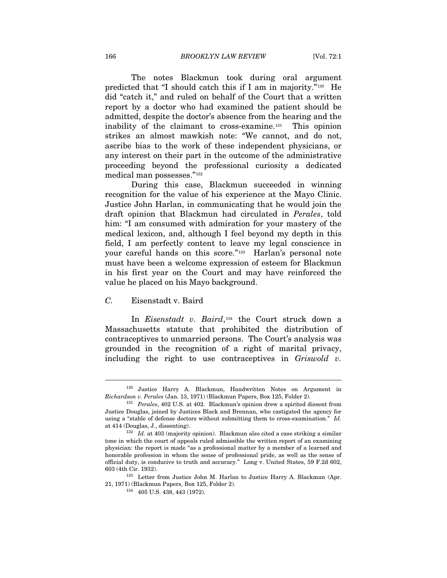The notes Blackmun took during oral argument predicted that "I should catch this if I am in majority."[130](#page-20-0) He did "catch it," and ruled on behalf of the Court that a written report by a doctor who had examined the patient should be admitted, despite the doctor's absence from the hearing and the inability of the claimant to cross-examine.[131](#page-20-1) This opinion strikes an almost mawkish note: "We cannot, and do not, ascribe bias to the work of these independent physicians, or any interest on their part in the outcome of the administrative proceeding beyond the professional curiosity a dedicated medical man possesses."[132](#page-20-2)

During this case, Blackmun succeeded in winning recognition for the value of his experience at the Mayo Clinic. Justice John Harlan, in communicating that he would join the draft opinion that Blackmun had circulated in *Perales*, told him: "I am consumed with admiration for your mastery of the medical lexicon, and, although I feel beyond my depth in this field, I am perfectly content to leave my legal conscience in your careful hands on this score."[133](#page-20-3) Harlan's personal note must have been a welcome expression of esteem for Blackmun in his first year on the Court and may have reinforced the value he placed on his Mayo background.

## *C.* Eisenstadt v. Baird

 $\overline{a}$ 

In *Eisenstadt v. Baird*,[134](#page-20-4) the Court struck down a Massachusetts statute that prohibited the distribution of contraceptives to unmarried persons. The Court's analysis was grounded in the recognition of a right of marital privacy, including the right to use contraceptives in *Griswold v.* 

<span id="page-20-0"></span><sup>130</sup> Justice Harry A. Blackmun, Handwritten Notes on Argument in *Richardson v. Perales* (Jan. 13, 1971) (Blackmun Papers, Box 125, Folder 2). 131 *Perales*, 402 U.S. at 402. Blackmun's opinion drew a spirited dissent from

<span id="page-20-1"></span>Justice Douglas, joined by Justices Black and Brennan, who castigated the agency for using a "stable of defense doctors without submitting them to cross-examination." *Id.* at 414 (Douglas, J., dissenting). 132 *Id.* at 403 (majority opinion). Blackmun also cited a case striking a similar

<span id="page-20-2"></span>tone in which the court of appeals ruled admissible the written report of an examining physician: the report is made "as a professional matter by a member of a learned and honorable profession in whom the sense of professional pride, as well as the sense of official duty, is conducive to truth and accuracy." Long v. United States, 59 F.2d 602, 603 (4th Cir. 1932). 133 Letter from Justice John M. Harlan to Justice Harry A. Blackmun (Apr.

<span id="page-20-4"></span><span id="page-20-3"></span><sup>21, 1971) (</sup>Blackmun Papers, Box 125, Folder 2). 134 405 U.S. 438, 443 (1972).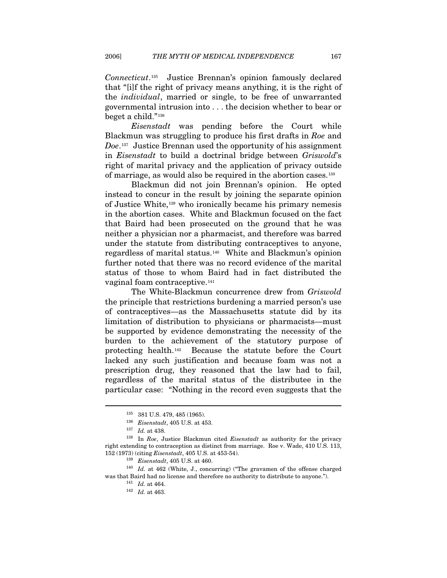*Connecticut*.[135](#page-21-0) Justice Brennan's opinion famously declared that "[i]f the right of privacy means anything, it is the right of the *individual*, married or single, to be free of unwarranted governmental intrusion into . . . the decision whether to bear or beget a child."[136](#page-21-1)

*Eisenstadt* was pending before the Court while Blackmun was struggling to produce his first drafts in *Roe* and *Doe*.[137](#page-21-2) Justice Brennan used the opportunity of his assignment in *Eisenstadt* to build a doctrinal bridge between *Griswold*'s right of marital privacy and the application of privacy outside of marriage, as would also be required in the abortion cases.[138](#page-21-3)

Blackmun did not join Brennan's opinion. He opted instead to concur in the result by joining the separate opinion of Justice White,[139](#page-21-4) who ironically became his primary nemesis in the abortion cases. White and Blackmun focused on the fact that Baird had been prosecuted on the ground that he was neither a physician nor a pharmacist, and therefore was barred under the statute from distributing contraceptives to anyone, regardless of marital status.[140](#page-21-5) White and Blackmun's opinion further noted that there was no record evidence of the marital status of those to whom Baird had in fact distributed the vaginal foam contraceptive.<sup>[141](#page-21-6)</sup>

The White-Blackmun concurrence drew from *Griswold* the principle that restrictions burdening a married person's use of contraceptives—as the Massachusetts statute did by its limitation of distribution to physicians or pharmacists—must be supported by evidence demonstrating the necessity of the burden to the achievement of the statutory purpose of protecting health.[142](#page-21-7) Because the statute before the Court lacked any such justification and because foam was not a prescription drug, they reasoned that the law had to fail, regardless of the marital status of the distributee in the particular case: "Nothing in the record even suggests that the

<sup>135 381</sup> U.S. 479, 485 (1965).

<span id="page-21-3"></span><span id="page-21-2"></span><span id="page-21-1"></span><span id="page-21-0"></span><sup>136</sup> *Eisenstadt*, 405 U.S. at 453. 137 *Id.* at 438. 138 In *Roe*, Justice Blackmun cited *Eisenstadt* as authority for the privacy right extending to contraception as distinct from marriage. Roe v. Wade, 410 U.S. 113, 152 (1973) (citing *Eisenstadt*, 405 U.S. at 453-54).

<span id="page-21-7"></span><span id="page-21-6"></span><span id="page-21-5"></span><span id="page-21-4"></span><sup>&</sup>lt;sup>139</sup> Eisenstadt, 405 U.S. at 460.<br><sup>140</sup> Id. at 462 (White, J., concurring) ("The gravamen of the offense charged was that Baird had no license and therefore no authority to distribute to anyone.").  $\frac{141}{Id}$  *Id.* at 463.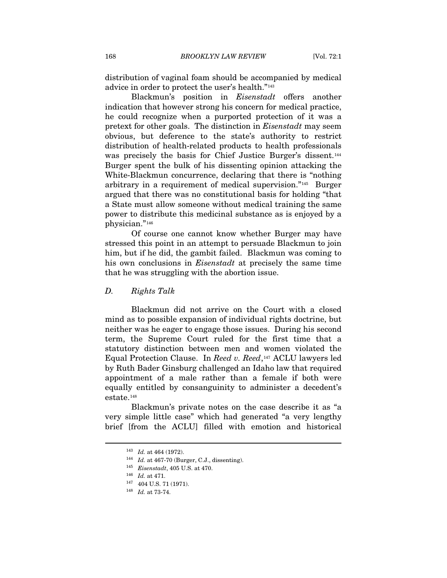distribution of vaginal foam should be accompanied by medical advice in order to protect the user's health."[143](#page-22-0)

Blackmun's position in *Eisenstadt* offers another indication that however strong his concern for medical practice, he could recognize when a purported protection of it was a pretext for other goals. The distinction in *Eisenstadt* may seem obvious, but deference to the state's authority to restrict distribution of health-related products to health professionals was precisely the basis for Chief Justice Burger's dissent.<sup>[144](#page-22-1)</sup> Burger spent the bulk of his dissenting opinion attacking the White-Blackmun concurrence, declaring that there is "nothing arbitrary in a requirement of medical supervision."[145](#page-22-2) Burger argued that there was no constitutional basis for holding "that a State must allow someone without medical training the same power to distribute this medicinal substance as is enjoyed by a physician."[146](#page-22-3)

Of course one cannot know whether Burger may have stressed this point in an attempt to persuade Blackmun to join him, but if he did, the gambit failed. Blackmun was coming to his own conclusions in *Eisenstadt* at precisely the same time that he was struggling with the abortion issue.

#### *D. Rights Talk*

Blackmun did not arrive on the Court with a closed mind as to possible expansion of individual rights doctrine, but neither was he eager to engage those issues. During his second term, the Supreme Court ruled for the first time that a statutory distinction between men and women violated the Equal Protection Clause. In *Reed v. Reed*,[147](#page-22-4) ACLU lawyers led by Ruth Bader Ginsburg challenged an Idaho law that required appointment of a male rather than a female if both were equally entitled by consanguinity to administer a decedent's estate.[148](#page-22-5)

<span id="page-22-3"></span><span id="page-22-2"></span><span id="page-22-1"></span><span id="page-22-0"></span>Blackmun's private notes on the case describe it as "a very simple little case" which had generated "a very lengthy brief [from the ACLU] filled with emotion and historical

<sup>143</sup> *Id.* at 464 (1972). 144 *Id.* at 467-70 (Burger, C.J., dissenting). 145 *Eisenstadt*, 405 U.S. at 470.

<span id="page-22-5"></span><span id="page-22-4"></span><sup>146</sup> *Id.* at 471. 147 404 U.S. 71 (1971). 148 *Id.* at 73-74.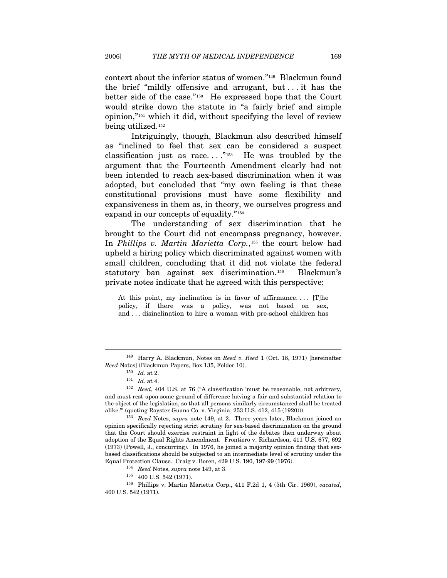context about the inferior status of women."[149](#page-23-0) Blackmun found the brief "mildly offensive and arrogant, but . . . it has the better side of the case."[150](#page-23-1) He expressed hope that the Court would strike down the statute in "a fairly brief and simple opinion,"[151](#page-23-2) which it did, without specifying the level of review being utilized.[152](#page-23-3)

Intriguingly, though, Blackmun also described himself as "inclined to feel that sex can be considered a suspect classification just as race...."<sup>[153](#page-23-4)</sup> He was troubled by the argument that the Fourteenth Amendment clearly had not been intended to reach sex-based discrimination when it was adopted, but concluded that "my own feeling is that these constitutional provisions must have some flexibility and expansiveness in them as, in theory, we ourselves progress and expand in our concepts of equality."[154](#page-23-5)

The understanding of sex discrimination that he brought to the Court did not encompass pregnancy, however. In *Phillips v. Martin Marietta Corp.*,[155](#page-23-6) the court below had upheld a hiring policy which discriminated against women with small children, concluding that it did not violate the federal statutory ban against sex discrimination.[156](#page-23-7) Blackmun's private notes indicate that he agreed with this perspective:

At this point, my inclination is in favor of affirmance.... [T] $he$ policy, if there was a policy, was not based on sex, and . . . disinclination to hire a woman with pre-school children has

<span id="page-23-1"></span><span id="page-23-0"></span><sup>149</sup> Harry A. Blackmun, Notes on *Reed v. Reed* 1 (Oct. 18, 1971) [hereinafter *Reed* Notes] (Blackmun Papers, Box 135, Folder 10). <sup>150</sup> *Id.* at 2. <sup>151</sup> *Id.* at 4. <sup>152</sup> *Reed*, 404 U.S. at 76 ("A classification 'must be reasonable, not arbitrary,

<span id="page-23-3"></span><span id="page-23-2"></span>and must rest upon some ground of difference having a fair and substantial relation to the object of the legislation, so that all persons similarly circumstanced shall be treated alike.'" (quoting Royster Guano Co. v. Virginia, 253 U.S. 412, 415 (1920))). 153 *Reed* Notes, *supra* note 149, at 2. Three years later, Blackmun joined an

<span id="page-23-4"></span>opinion specifically rejecting strict scrutiny for sex-based discrimination on the ground that the Court should exercise restraint in light of the debates then underway about adoption of the Equal Rights Amendment. Frontiero v. Richardson, 411 U.S. 677, 692 (1973) (Powell, J., concurring). In 1976, he joined a majority opinion finding that sexbased classifications should be subjected to an intermediate level of scrutiny under the

<span id="page-23-7"></span><span id="page-23-6"></span><span id="page-23-5"></span> $^{154}\,$  Reed Notes, supra note 149, at 3.  $^{155}\,$  400 U.S. 542 (1971).  $^{156}\,$  Phillips v. Martin Marietta Corp., 411 F.2d 1, 4 (5th Cir. 1969), vacated, 400 U.S. 542 (1971).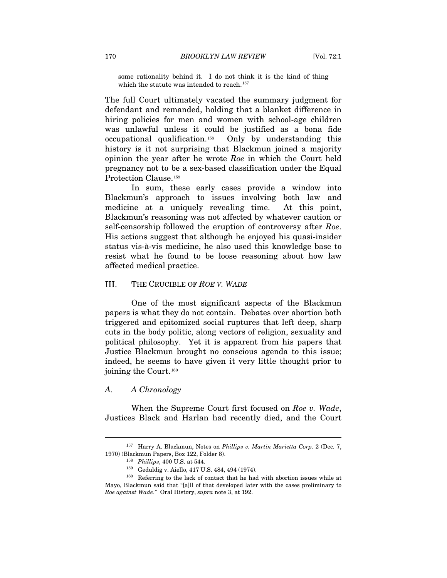some rationality behind it. I do not think it is the kind of thing which the statute was intended to reach.<sup>[157](#page-24-0)</sup>

The full Court ultimately vacated the summary judgment for defendant and remanded, holding that a blanket difference in hiring policies for men and women with school-age children was unlawful unless it could be justified as a bona fide occupational qualification.[158](#page-24-1) Only by understanding this history is it not surprising that Blackmun joined a majority opinion the year after he wrote *Roe* in which the Court held pregnancy not to be a sex-based classification under the Equal Protection Clause.[159](#page-24-2)

In sum, these early cases provide a window into Blackmun's approach to issues involving both law and medicine at a uniquely revealing time. At this point, Blackmun's reasoning was not affected by whatever caution or self-censorship followed the eruption of controversy after *Roe*. His actions suggest that although he enjoyed his quasi-insider status vis-à-vis medicine, he also used this knowledge base to resist what he found to be loose reasoning about how law affected medical practice.

#### III. THE CRUCIBLE OF *ROE V. WADE*

One of the most significant aspects of the Blackmun papers is what they do not contain. Debates over abortion both triggered and epitomized social ruptures that left deep, sharp cuts in the body politic, along vectors of religion, sexuality and political philosophy. Yet it is apparent from his papers that Justice Blackmun brought no conscious agenda to this issue; indeed, he seems to have given it very little thought prior to joining the Court.<sup>[160](#page-24-3)</sup>

## *A. A Chronology*

 $\overline{a}$ 

When the Supreme Court first focused on *Roe v. Wade*, Justices Black and Harlan had recently died, and the Court

<span id="page-24-1"></span><span id="page-24-0"></span><sup>157</sup> Harry A. Blackmun, Notes on *Phillips v. Martin Marietta Corp.* 2 (Dec. 7, 1970) (Blackmun Papers, Box 122, Folder 8). 158 *Phillips*, 400 U.S. at 544. 159 Geduldig v. Aiello, 417 U.S. 484, 494 (1974). 160 Referring to the lack of contact that he had with abortion issues while at  $^{160}$  Referrin

<span id="page-24-3"></span><span id="page-24-2"></span>Mayo, Blackmun said that "[a]ll of that developed later with the cases preliminary to *Roe against Wade*." Oral History, *supra* note 3, at 192.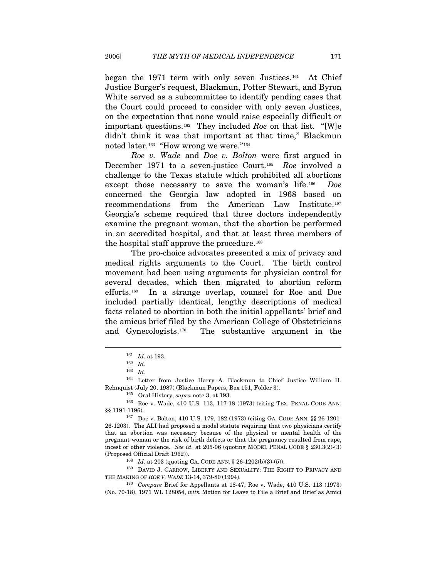began the 1971 term with only seven Justices.[161](#page-25-0) At Chief Justice Burger's request, Blackmun, Potter Stewart, and Byron White served as a subcommittee to identify pending cases that the Court could proceed to consider with only seven Justices, on the expectation that none would raise especially difficult or important questions.[162](#page-25-1) They included *Roe* on that list. "[W]e didn't think it was that important at that time," Blackmun noted later.<sup>[163](#page-25-2)</sup> "How wrong we were."<sup>[164](#page-25-3)</sup>

*Roe v. Wade* and *Doe v. Bolton* were first argued in December 1971 to a seven-justice Court.[165](#page-25-4) *Roe* involved a challenge to the Texas statute which prohibited all abortions except those necessary to save the woman's life.[166](#page-25-5) *Doe* concerned the Georgia law adopted in 1968 based on recommendations from the American Law Institute.[167](#page-25-6) Georgia's scheme required that three doctors independently examine the pregnant woman, that the abortion be performed in an accredited hospital, and that at least three members of the hospital staff approve the procedure.<sup>[168](#page-25-7)</sup>

The pro-choice advocates presented a mix of privacy and medical rights arguments to the Court. The birth control movement had been using arguments for physician control for several decades, which then migrated to abortion reform efforts.[169](#page-25-8) In a strange overlap, counsel for Roe and Doe included partially identical, lengthy descriptions of medical facts related to abortion in both the initial appellants' brief and the amicus brief filed by the American College of Obstetricians and Gynecologists.[170](#page-25-9) The substantive argument in the

 $\overline{a}$ 

<span id="page-25-8"></span><span id="page-25-7"></span>(Proposed Official Draft 1962)). 168 *Id.* at 203 (quoting GA. CODE ANN. § 26-1202(b)(3)-(5)). <sup>169</sup> DAVID J. GARROW, LIBERTY AND SEXUALITY: THE RIGHT TO PRIVACY AND THE MAKING OF *ROE V. WADE* 13-14, 379-80 (1994). 170 *Compare* Brief for Appellants at 18-47, Roe v. Wade, 410 U.S. 113 (1973)

<span id="page-25-9"></span>(No. 70-18), 1971 WL 128054, *with* Motion for Leave to File a Brief and Brief as Amici

<sup>161</sup> *Id.* at 193. 162 *Id.*

<sup>163</sup> *Id.*

<span id="page-25-4"></span><span id="page-25-3"></span><span id="page-25-2"></span><span id="page-25-1"></span><span id="page-25-0"></span><sup>164</sup> Letter from Justice Harry A. Blackmun to Chief Justice William H. Rehnquist (July 20, 1987) (Blackmun Papers, Box 151, Folder 3).<br><sup>165</sup> Oral History, *supra* note 3, at 193.<br><sup>166</sup> Roe v. Wade, 410 U.S. 113, 117-18 (1973) (citing TEX. PENAL CODE ANN.

<span id="page-25-5"></span><sup>§§ 1191-1196).&</sup>lt;br><sup>167</sup> Doe v. Bolton, 410 U.S. 179, 182 (1973) (citing GA. CODE ANN. §§ 26-1201-

<span id="page-25-6"></span><sup>26-1203).</sup> The ALI had proposed a model statute requiring that two physicians certify that an abortion was necessary because of the physical or mental health of the pregnant woman or the risk of birth defects or that the pregnancy resulted from rape, incest or other violence. *See id.* at 205-06 (quoting MODEL PENAL CODE § 230.3(2)-(3)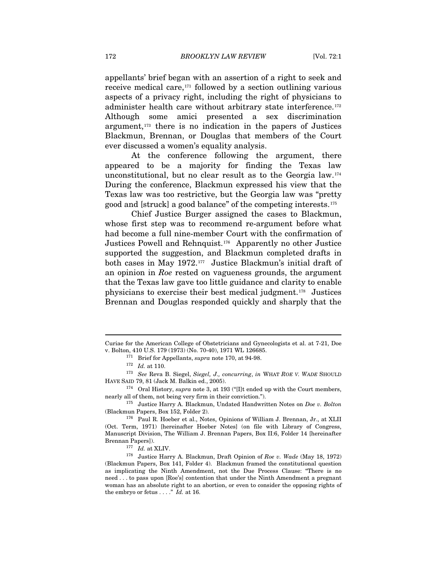appellants' brief began with an assertion of a right to seek and receive medical care, $171$  followed by a section outlining various aspects of a privacy right, including the right of physicians to administer health care without arbitrary state interference.<sup>[172](#page-26-1)</sup> Although some amici presented a sex discrimination argument,[173](#page-26-2) there is no indication in the papers of Justices Blackmun, Brennan, or Douglas that members of the Court ever discussed a women's equality analysis.

At the conference following the argument, there appeared to be a majority for finding the Texas law unconstitutional, but no clear result as to the Georgia law.[174](#page-26-3) During the conference, Blackmun expressed his view that the Texas law was too restrictive, but the Georgia law was "pretty good and [struck] a good balance" of the competing interests.[175](#page-26-4)

Chief Justice Burger assigned the cases to Blackmun, whose first step was to recommend re-argument before what had become a full nine-member Court with the confirmation of Justices Powell and Rehnquist.[176](#page-26-5) Apparently no other Justice supported the suggestion, and Blackmun completed drafts in both cases in May 1972.[177](#page-26-6) Justice Blackmun's initial draft of an opinion in *Roe* rested on vagueness grounds, the argument that the Texas law gave too little guidance and clarity to enable physicians to exercise their best medical judgment.[178](#page-26-7) Justices Brennan and Douglas responded quickly and sharply that the

Curiae for the American College of Obstetricians and Gynecologists et al. at 7-21, Doe v. Bolton, 410 U.S. 179 (1973) (No. 70-40), 1971 WL 126685. 171 Brief for Appellants, *supra* note 170, at 94-98.

<span id="page-26-2"></span><span id="page-26-1"></span><span id="page-26-0"></span><sup>172</sup> *Id.* at 110. 173 *See* Reva B. Siegel, *Siegel, J., concurring*, *in* WHAT *ROE V. WADE* SHOULD HAVE SAID 79, 81 (Jack M. Balkin ed., 2005). 174 Oral History, *supra* note 3, at 193 ("[I]t ended up with the Court members,

<span id="page-26-3"></span>nearly all of them, not being very firm in their conviction."). 175 Justice Harry A. Blackmun, Undated Handwritten Notes on *Doe v. Bolton*

<span id="page-26-5"></span><span id="page-26-4"></span><sup>(</sup>Blackmun Papers, Box 152, Folder 2).  $176$  Paul R. Hoeber et al., Notes, Opinions of William J. Brennan, Jr., at XLII (Oct. Term, 1971) [hereinafter Hoeber Notes] (on file with Library of Congress, Manuscript Division, The William J. Brennan Papers, Box II:6, Folder 14 [hereinafter Brennan Papers]). 177 *Id.* at XLIV. 178 Justice Harry A. Blackmun, Draft Opinion of *Roe v. Wade* (May 18, 1972)

<span id="page-26-7"></span><span id="page-26-6"></span><sup>(</sup>Blackmun Papers, Box 141, Folder 4). Blackmun framed the constitutional question as implicating the Ninth Amendment, not the Due Process Clause: "There is no need . . . to pass upon [Roe's] contention that under the Ninth Amendment a pregnant woman has an absolute right to an abortion, or even to consider the opposing rights of the embryo or fetus . . . ." *Id.* at 16.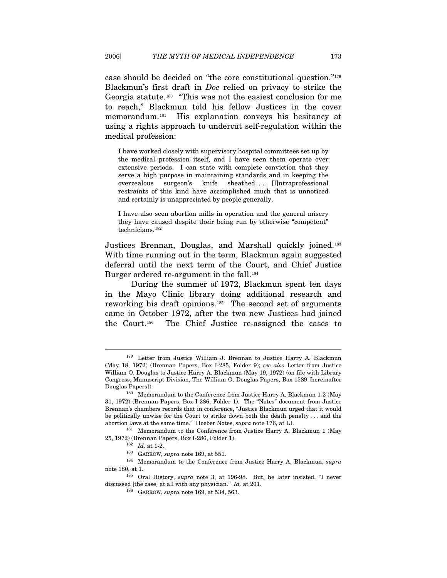case should be decided on "the core constitutional question."[179](#page-27-0) Blackmun's first draft in *Doe* relied on privacy to strike the Georgia statute.[180](#page-27-1) "This was not the easiest conclusion for me to reach," Blackmun told his fellow Justices in the cover memorandum.[181](#page-27-2) His explanation conveys his hesitancy at using a rights approach to undercut self-regulation within the medical profession:

I have worked closely with supervisory hospital committees set up by the medical profession itself, and I have seen them operate over extensive periods. I can state with complete conviction that they serve a high purpose in maintaining standards and in keeping the overzealous surgeon's knife sheathed. . . . [I]ntraprofessional restraints of this kind have accomplished much that is unnoticed and certainly is unappreciated by people generally.

I have also seen abortion mills in operation and the general misery they have caused despite their being run by otherwise "competent" technicians.[182](#page-27-3)

Justices Brennan, Douglas, and Marshall quickly joined.<sup>[183](#page-27-4)</sup> With time running out in the term, Blackmun again suggested deferral until the next term of the Court, and Chief Justice Burger ordered re-argument in the fall.<sup>[184](#page-27-5)</sup>

During the summer of 1972, Blackmun spent ten days in the Mayo Clinic library doing additional research and reworking his draft opinions.[185](#page-27-6) The second set of arguments came in October 1972, after the two new Justices had joined the Court.[186](#page-27-7) The Chief Justice re-assigned the cases to

<span id="page-27-0"></span><sup>&</sup>lt;sup>179</sup> Letter from Justice William J. Brennan to Justice Harry A. Blackmun (May 18, 1972) (Brennan Papers, Box I-285, Folder 9); *see also* Letter from Justice William O. Douglas to Justice Harry A. Blackmun (May 19, 1972) (on file with Library Congress, Manuscript Division, The William O. Douglas Papers, Box 1589 [hereinafter

<span id="page-27-1"></span>Douglas Papers]). 180 Memorandum to the Conference from Justice Harry A. Blackmun 1-2 (May 31, 1972) (Brennan Papers, Box I-286, Folder 1). The "Notes" document from Justice Brennan's chambers records that in conference, "Justice Blackmun urged that it would be politically unwise for the Court to strike down both the death penalty . . . and the abortion laws at the same time." Hoeber Notes, *supra* note 176, at LI.<br><sup>181</sup> Memorandum to the Conference from Justice Harry A. Blackmun 1 (May

<span id="page-27-3"></span><span id="page-27-2"></span><sup>25, 1972) (</sup>Brennan Papers, Box I-286, Folder 1). 182 *Id.* at 1-2. 183 GARROW, *supra* note 169, at 551.

<span id="page-27-5"></span><span id="page-27-4"></span><sup>184</sup> Memorandum to the Conference from Justice Harry A. Blackmun, *supra*  note 180, at 1. 185 Oral History, *supra* note 3, at 196-98. But, he later insisted, "I never

<span id="page-27-7"></span><span id="page-27-6"></span>discussed [the case] at all with any physician." *Id.* at 201. 186 GARROW, *supra* note 169, at 534, 563.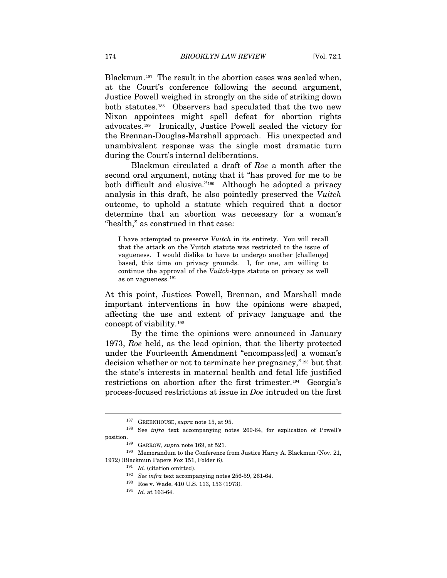Blackmun.<sup>[187](#page-28-0)</sup> The result in the abortion cases was sealed when, at the Court's conference following the second argument, Justice Powell weighed in strongly on the side of striking down both statutes.<sup>[188](#page-28-1)</sup> Observers had speculated that the two new Nixon appointees might spell defeat for abortion rights advocates.[189](#page-28-2) Ironically, Justice Powell sealed the victory for the Brennan-Douglas-Marshall approach. His unexpected and unambivalent response was the single most dramatic turn during the Court's internal deliberations.

Blackmun circulated a draft of *Roe* a month after the second oral argument, noting that it "has proved for me to be both difficult and elusive."[190](#page-28-3) Although he adopted a privacy analysis in this draft, he also pointedly preserved the *Vuitch* outcome, to uphold a statute which required that a doctor determine that an abortion was necessary for a woman's "health," as construed in that case:

I have attempted to preserve *Vuitch* in its entirety. You will recall that the attack on the Vuitch statute was restricted to the issue of vagueness. I would dislike to have to undergo another [challenge] based, this time on privacy grounds. I, for one, am willing to continue the approval of the *Vuitch*-type statute on privacy as well as on vagueness.[191](#page-28-4)

At this point, Justices Powell, Brennan, and Marshall made important interventions in how the opinions were shaped, affecting the use and extent of privacy language and the concept of viability.[192](#page-28-5)

By the time the opinions were announced in January 1973, *Roe* held, as the lead opinion, that the liberty protected under the Fourteenth Amendment "encompass[ed] a woman's decision whether or not to terminate her pregnancy,"[193](#page-28-6) but that the state's interests in maternal health and fetal life justified restrictions on abortion after the first trimester.[194](#page-28-7) Georgia's process-focused restrictions at issue in *Doe* intruded on the first

<sup>187</sup> GREENHOUSE, *supra* note 15, at 95.

<sup>188</sup> See *infra* text accompanying notes 260-64, for explication of Powell's

<span id="page-28-7"></span><span id="page-28-6"></span><span id="page-28-5"></span><span id="page-28-4"></span><span id="page-28-3"></span><span id="page-28-2"></span><span id="page-28-1"></span><span id="page-28-0"></span>position.<br><sup>189</sup> GARROW, *supra* note 169, at 521.<br><sup>190</sup> Memorandum to the Conference from Justice Harry A. Blackmun (Nov. 21, 1972) (Blackmun Papers Fox 151, Folder 6). 191 *Id.* (citation omitted).

<sup>192</sup> *See infra* text accompanying notes 256-59, 261-64. 193 Roe v. Wade, 410 U.S. 113, 153 (1973). 194 *Id.* at 163-64.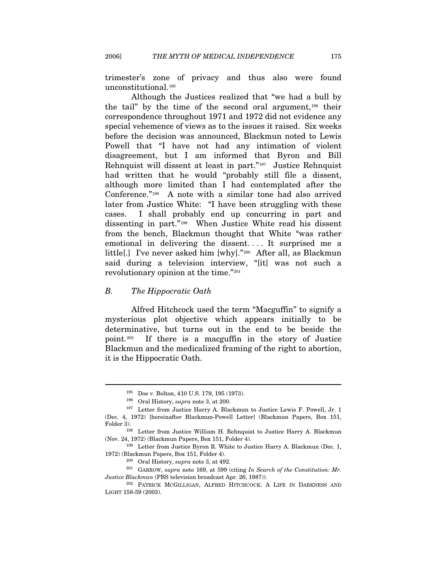trimester's zone of privacy and thus also were found unconstitutional.[195](#page-29-0)

Although the Justices realized that "we had a bull by the tail" by the time of the second oral argument,[196](#page-29-1) their correspondence throughout 1971 and 1972 did not evidence any special vehemence of views as to the issues it raised. Six weeks before the decision was announced, Blackmun noted to Lewis Powell that "I have not had any intimation of violent disagreement, but I am informed that Byron and Bill Rehnquist will dissent at least in part."[197](#page-29-2) Justice Rehnquist had written that he would "probably still file a dissent, although more limited than I had contemplated after the Conference."[198](#page-29-3) A note with a similar tone had also arrived later from Justice White: "I have been struggling with these cases. I shall probably end up concurring in part and dissenting in part."[199](#page-29-4) When Justice White read his dissent from the bench, Blackmun thought that White "was rather emotional in delivering the dissent. . . . It surprised me a little[.] I've never asked him [why]."[200](#page-29-5) After all, as Blackmun said during a television interview, "[it] was not such a revolutionary opinion at the time."[201](#page-29-6)

#### *B. The Hippocratic Oath*

 $\overline{a}$ 

Alfred Hitchcock used the term "Macguffin" to signify a mysterious plot objective which appears initially to be determinative, but turns out in the end to be beside the point.[202](#page-29-7) If there is a macguffin in the story of Justice Blackmun and the medicalized framing of the right to abortion, it is the Hippocratic Oath.

<sup>195</sup> Doe v. Bolton, 410 U.S. 179, 195 (1973).

<span id="page-29-2"></span><span id="page-29-1"></span><span id="page-29-0"></span><sup>&</sup>lt;sup>196</sup> Oral History, *supra* note 3, at 200.<br><sup>197</sup> Letter from Justice Harry A. Blackmun to Justice Lewis F. Powell, Jr. 1 (Dec. 4, 1972) [hereinafter Blackmun-Powell Letter] (Blackmun Papers, Box 151, Folder 3).<br><sup>198</sup> Letter from Justice William H. Rehnquist to Justice Harry A. Blackmun

<span id="page-29-3"></span><sup>(</sup>Nov. 24, 1972) (Blackmun Papers, Box 151, Folder 4).<br><sup>199</sup> Letter from Justice Byron R. White to Justice Harry A. Blackmun (Dec. 1,

<span id="page-29-4"></span><sup>1972) (</sup>Blackmun Papers, Box 151, Folder 4). 200 Oral History, *supra* note 3, at 492. 201 GARROW, *supra* note 169, at 599 (citing *In Search of the Constitution: Mr.* 

<span id="page-29-6"></span><span id="page-29-5"></span>

<span id="page-29-7"></span>*Justice Blackmun* (PBS television broadcast Apr. 26, 1987)). <sup>202</sup> PATRICK MCGILLIGAN, ALFRED HITCHCOCK: A LIFE IN DARKNESS AND LIGHT 158-59 (2003).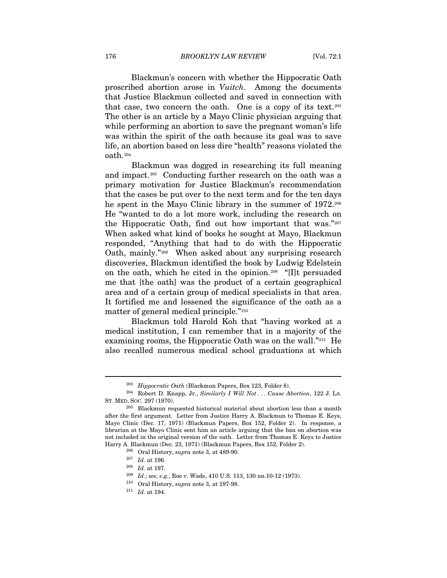Blackmun's concern with whether the Hippocratic Oath proscribed abortion arose in *Vuitch*. Among the documents that Justice Blackmun collected and saved in connection with that case, two concern the oath. One is a copy of its text.<sup>[203](#page-30-0)</sup> The other is an article by a Mayo Clinic physician arguing that while performing an abortion to save the pregnant woman's life was within the spirit of the oath because its goal was to save life, an abortion based on less dire "health" reasons violated the oath.[204](#page-30-1)

 Blackmun was dogged in researching its full meaning and impact.[205](#page-30-2) Conducting further research on the oath was a primary motivation for Justice Blackmun's recommendation that the cases be put over to the next term and for the ten days he spent in the Mayo Clinic library in the summer of 1972.<sup>[206](#page-30-3)</sup> He "wanted to do a lot more work, including the research on the Hippocratic Oath, find out how important that was."[207](#page-30-4) When asked what kind of books he sought at Mayo, Blackmun responded, "Anything that had to do with the Hippocratic Oath, mainly."[208](#page-30-5) When asked about any surprising research discoveries, Blackmun identified the book by Ludwig Edelstein on the oath, which he cited in the opinion.[209](#page-30-6) "[I]t persuaded me that [the oath] was the product of a certain geographical area and of a certain group of medical specialists in that area. It fortified me and lessened the significance of the oath as a matter of general medical principle."[210](#page-30-7)

Blackmun told Harold Koh that "having worked at a medical institution, I can remember that in a majority of the examining rooms, the Hippocratic Oath was on the wall."<sup>[211](#page-30-8)</sup> He also recalled numerous medical school graduations at which

<span id="page-30-1"></span><span id="page-30-0"></span><sup>&</sup>lt;sup>203</sup> *Hippocratic Oath* (Blackmun Papers, Box 123, Folder 8).<br><sup>204</sup> Robert D. Knapp, Jr., *Similarly I Will Not... Cause Abortion*, 122 J. LA.<br>ST. MED. Soc. 297 (1970).

<span id="page-30-6"></span><span id="page-30-5"></span><span id="page-30-4"></span><span id="page-30-3"></span><span id="page-30-2"></span> $205$  Blackmun requested historical material about abortion less than a month after the first argument. Letter from Justice Harry A. Blackmun to Thomas E. Keys, Mayo Clinic (Dec. 17, 1971) (Blackmun Papers, Box 152, Folder 2). In response, a librarian at the Mayo Clinic sent him an article arguing that the ban on abortion was not included in the original version of the oath. Letter from Thomas E. Keys to Justice Harry A. Blackmun (Dec. 23, 1971) (Blackmun Papers, Box 152, Folder 2). 206 Oral History, *supra* note 3, at 489-90. 207 *Id.* at 196. 208 *Id.* at 197.

<sup>209</sup> *Id.*; *see, e.g.*, Roe v. Wade, 410 U.S. 113, 130 nn.10-12 (1973). 210 Oral History, *supra* note 3, at 197-98. 211 *Id.* at 194.

<span id="page-30-8"></span><span id="page-30-7"></span>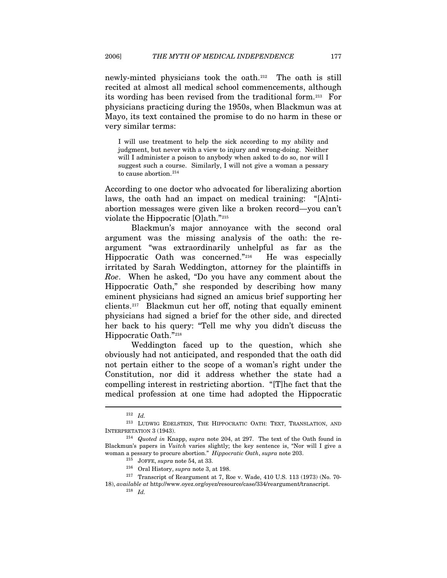newly-minted physicians took the oath.[212](#page-31-0) The oath is still recited at almost all medical school commencements, although its wording has been revised from the traditional form.[213](#page-31-1) For physicians practicing during the 1950s, when Blackmun was at Mayo, its text contained the promise to do no harm in these or very similar terms:

I will use treatment to help the sick according to my ability and judgment, but never with a view to injury and wrong-doing. Neither will I administer a poison to anybody when asked to do so, nor will I suggest such a course. Similarly, I will not give a woman a pessary to cause abortion.<sup>[214](#page-31-2)</sup>

According to one doctor who advocated for liberalizing abortion laws, the oath had an impact on medical training: "[A]ntiabortion messages were given like a broken record—you can't violate the Hippocratic [O]ath."[215](#page-31-3)

Blackmun's major annoyance with the second oral argument was the missing analysis of the oath: the reargument "was extraordinarily unhelpful as far as the Hippocratic Oath was concerned."[216](#page-31-4) He was especially irritated by Sarah Weddington, attorney for the plaintiffs in *Roe*. When he asked, "Do you have any comment about the Hippocratic Oath," she responded by describing how many eminent physicians had signed an amicus brief supporting her clients.[217](#page-31-5) Blackmun cut her off, noting that equally eminent physicians had signed a brief for the other side, and directed her back to his query: "Tell me why you didn't discuss the Hippocratic Oath."[218](#page-31-6)

Weddington faced up to the question, which she obviously had not anticipated, and responded that the oath did not pertain either to the scope of a woman's right under the Constitution, nor did it address whether the state had a compelling interest in restricting abortion. "[T]he fact that the medical profession at one time had adopted the Hippocratic

<sup>212</sup> *Id.*

<span id="page-31-1"></span><span id="page-31-0"></span><sup>213</sup> LUDWIG EDELSTEIN, THE HIPPOCRATIC OATH: TEXT, TRANSLATION, AND INTERPRETATION 3 (1943). 214 *Quoted in* Knapp, *supra* note 204, at 297. The text of the Oath found in

<span id="page-31-2"></span>Blackmun's papers in *Vuitch* varies slightly; the key sentence is, "Nor will I give a woman a pessary to procure abortion." *Hippocratic Oath*, *supra* note 203.

<span id="page-31-6"></span><span id="page-31-5"></span><span id="page-31-4"></span><span id="page-31-3"></span> $^{215}\,$  JOFFE, supra note 54, at 33.  $^{216}\,$  Oral History, supra note 3, at 198.  $^{216}\,$  Transcript of Reargument at 7, Roe v. Wade, 410 U.S. 113 (1973) (No. 70-18), *available at* http://www.oyez.org/oyez/resource/case/334/reargument/transcript. 218 *Id.*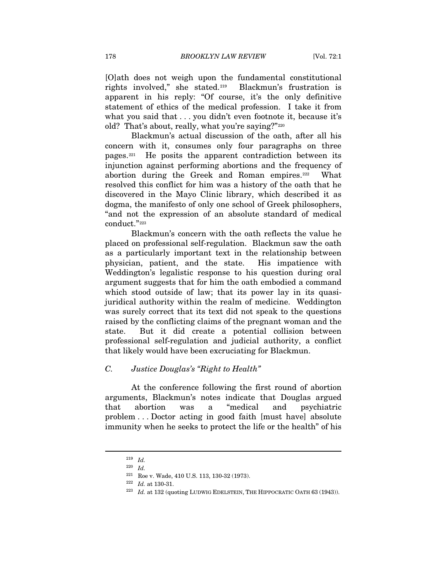[O]ath does not weigh upon the fundamental constitutional rights involved," she stated.[219](#page-32-0) Blackmun's frustration is apparent in his reply: "Of course, it's the only definitive statement of ethics of the medical profession. I take it from what you said that . . . you didn't even footnote it, because it's old? That's about, really, what you're saying?"[220](#page-32-1)

Blackmun's actual discussion of the oath, after all his concern with it, consumes only four paragraphs on three pages.[221](#page-32-2) He posits the apparent contradiction between its injunction against performing abortions and the frequency of abortion during the Greek and Roman empires.<sup>[222](#page-32-3)</sup> What resolved this conflict for him was a history of the oath that he discovered in the Mayo Clinic library, which described it as dogma, the manifesto of only one school of Greek philosophers, "and not the expression of an absolute standard of medical conduct."[223](#page-32-4)

Blackmun's concern with the oath reflects the value he placed on professional self-regulation. Blackmun saw the oath as a particularly important text in the relationship between physician, patient, and the state. His impatience with Weddington's legalistic response to his question during oral argument suggests that for him the oath embodied a command which stood outside of law; that its power lay in its quasijuridical authority within the realm of medicine. Weddington was surely correct that its text did not speak to the questions raised by the conflicting claims of the pregnant woman and the state. But it did create a potential collision between professional self-regulation and judicial authority, a conflict that likely would have been excruciating for Blackmun.

## *C. Justice Douglas's "Right to Health"*

At the conference following the first round of abortion arguments, Blackmun's notes indicate that Douglas argued that abortion was a "medical and psychiatric problem . . . Doctor acting in good faith [must have] absolute immunity when he seeks to protect the life or the health" of his

<span id="page-32-2"></span><span id="page-32-1"></span><span id="page-32-0"></span><sup>219</sup> *Id.*

<sup>220</sup> *Id.*

<span id="page-32-4"></span>

<span id="page-32-3"></span><sup>221</sup> Roe v. Wade, 410 U.S. 113, 130-32 (1973). 222 *Id.* at 130-31. 223 *Id.* at 132 (quoting LUDWIG EDELSTEIN, THE HIPPOCRATIC OATH 63 (1943)).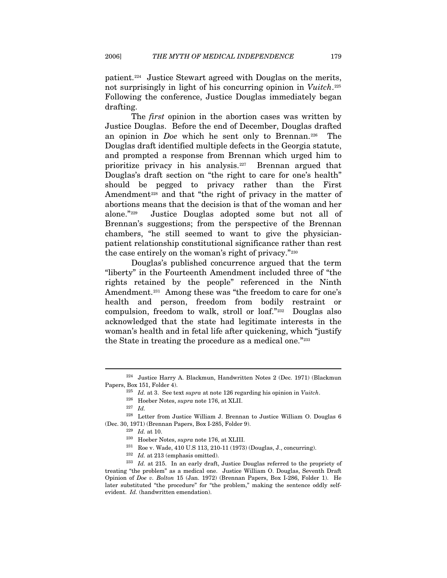patient.[224](#page-33-0) Justice Stewart agreed with Douglas on the merits, not surprisingly in light of his concurring opinion in *Vuitch*.[225](#page-33-1) Following the conference, Justice Douglas immediately began drafting.

The *first* opinion in the abortion cases was written by Justice Douglas. Before the end of December, Douglas drafted an opinion in *Doe* which he sent only to Brennan.<sup>[226](#page-33-2)</sup> The Douglas draft identified multiple defects in the Georgia statute, and prompted a response from Brennan which urged him to prioritize privacy in his analysis.[227](#page-33-3) Brennan argued that Douglas's draft section on "the right to care for one's health" should be pegged to privacy rather than the First Amendment<sup>[228](#page-33-4)</sup> and that "the right of privacy in the matter of abortions means that the decision is that of the woman and her alone."[229](#page-33-5) Justice Douglas adopted some but not all of Brennan's suggestions; from the perspective of the Brennan chambers, "he still seemed to want to give the physicianpatient relationship constitutional significance rather than rest the case entirely on the woman's right of privacy."[230](#page-33-6)

Douglas's published concurrence argued that the term "liberty" in the Fourteenth Amendment included three of "the rights retained by the people" referenced in the Ninth Amendment.<sup>[231](#page-33-7)</sup> Among these was "the freedom to care for one's health and person, freedom from bodily restraint or compulsion, freedom to walk, stroll or loaf."[232](#page-33-8) Douglas also acknowledged that the state had legitimate interests in the woman's health and in fetal life after quickening, which "justify the State in treating the procedure as a medical one."[233](#page-33-9)

<span id="page-33-1"></span><span id="page-33-0"></span><sup>224</sup> Justice Harry A. Blackmun, Handwritten Notes 2 (Dec. 1971) (Blackmun Papers, Box 151, Folder 4). 225 *Id.* at 3. See text *supra* at note 126 regarding his opinion in *Vuitch*. 226 Hoeber Notes, *supra* note 176, at XLII.

<sup>227</sup> *Id.*

<span id="page-33-6"></span><span id="page-33-5"></span><span id="page-33-4"></span><span id="page-33-3"></span><span id="page-33-2"></span><sup>228</sup> Letter from Justice William J. Brennan to Justice William O. Douglas 6 (Dec. 30, 1971) (Brennan Papers, Box I-285, Folder 9).<br>
<sup>229</sup> *Id.* at 10.<br>
<sup>230</sup> Hoeber Notes, *supra* note 176, at XLIII.<br>
<sup>231</sup> Roe v. Wade, 410 U.S 113, 210-11 (1973) (Douglas, J., concurring).<br>
<sup>232</sup> *Id.* at 213 (em

<span id="page-33-9"></span><span id="page-33-8"></span><span id="page-33-7"></span>treating "the problem" as a medical one. Justice William O. Douglas, Seventh Draft Opinion of *Doe v. Bolton* 15 (Jan. 1972) (Brennan Papers, Box I-286, Folder 1). He later substituted "the procedure" for "the problem," making the sentence oddly selfevident. *Id.* (handwritten emendation).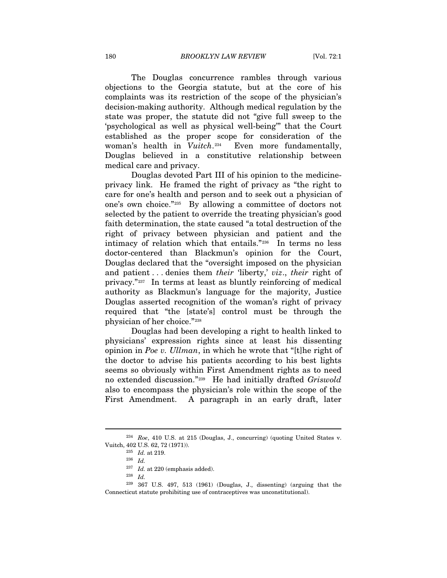The Douglas concurrence rambles through various objections to the Georgia statute, but at the core of his complaints was its restriction of the scope of the physician's decision-making authority. Although medical regulation by the state was proper, the statute did not "give full sweep to the 'psychological as well as physical well-being'" that the Court established as the proper scope for consideration of the woman's health in *Vuitch*.<sup>[234](#page-34-0)</sup> Even more fundamentally, Douglas believed in a constitutive relationship between medical care and privacy.

Douglas devoted Part III of his opinion to the medicineprivacy link. He framed the right of privacy as "the right to care for one's health and person and to seek out a physician of one's own choice."[235](#page-34-1) By allowing a committee of doctors not selected by the patient to override the treating physician's good faith determination, the state caused "a total destruction of the right of privacy between physician and patient and the intimacy of relation which that entails."[236](#page-34-2) In terms no less doctor-centered than Blackmun's opinion for the Court, Douglas declared that the "oversight imposed on the physician and patient . . . denies them *their* 'liberty,' *viz*., *their* right of privacy."[237](#page-34-3) In terms at least as bluntly reinforcing of medical authority as Blackmun's language for the majority, Justice Douglas asserted recognition of the woman's right of privacy required that "the [state's] control must be through the physician of her choice."[238](#page-34-4)

Douglas had been developing a right to health linked to physicians' expression rights since at least his dissenting opinion in *Poe v. Ullman*, in which he wrote that "[t]he right of the doctor to advise his patients according to his best lights seems so obviously within First Amendment rights as to need no extended discussion."[239](#page-34-5) He had initially drafted *Griswold* also to encompass the physician's role within the scope of the First Amendment. A paragraph in an early draft, later

<span id="page-34-1"></span><span id="page-34-0"></span><sup>234</sup> *Roe*, 410 U.S. at 215 (Douglas, J., concurring) (quoting United States v. Vuitch, 402 U.S. 62, 72 (1971)). 235 *Id.* at 219. 236 *Id.*

<span id="page-34-5"></span><span id="page-34-4"></span><span id="page-34-3"></span><span id="page-34-2"></span><sup>&</sup>lt;sup>238</sup> *Id.* <sup>239</sup> 367 U.S. 497, 513 (1961) (Douglas, J., dissenting) (arguing that the Connecticut statute prohibiting use of contraceptives was unconstitutional).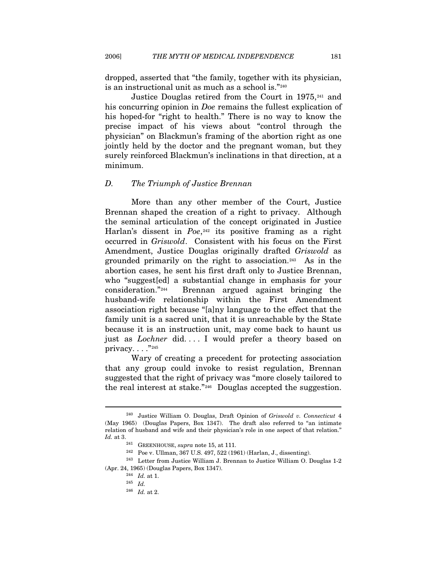dropped, asserted that "the family, together with its physician, is an instructional unit as much as a school is."[240](#page-35-0)

Justice Douglas retired from the Court in 1975,[241](#page-35-1) and his concurring opinion in *Doe* remains the fullest explication of his hoped-for "right to health." There is no way to know the precise impact of his views about "control through the physician" on Blackmun's framing of the abortion right as one jointly held by the doctor and the pregnant woman, but they surely reinforced Blackmun's inclinations in that direction, at a minimum.

## *D. The Triumph of Justice Brennan*

More than any other member of the Court, Justice Brennan shaped the creation of a right to privacy. Although the seminal articulation of the concept originated in Justice Harlan's dissent in *Poe*,<sup>[242](#page-35-2)</sup> its positive framing as a right occurred in *Griswold*. Consistent with his focus on the First Amendment, Justice Douglas originally drafted *Griswold* as grounded primarily on the right to association.[243](#page-35-3) As in the abortion cases, he sent his first draft only to Justice Brennan, who "suggest[ed] a substantial change in emphasis for your consideration."[244](#page-35-4) Brennan argued against bringing the husband-wife relationship within the First Amendment association right because "[a]ny language to the effect that the family unit is a sacred unit, that it is unreachable by the State because it is an instruction unit, may come back to haunt us just as *Lochner* did.... I would prefer a theory based on privacy.  $\ldots$ ."[245](#page-35-5)

Wary of creating a precedent for protecting association that any group could invoke to resist regulation, Brennan suggested that the right of privacy was "more closely tailored to the real interest at stake."[246](#page-35-6) Douglas accepted the suggestion.

<span id="page-35-0"></span><sup>240</sup> Justice William O. Douglas, Draft Opinion of *Griswold v. Connecticut* 4 (May 1965) (Douglas Papers, Box 1347). The draft also referred to "an intimate relation of husband and wife and their physician's role in one aspect of that relation." *Id.* at 3.<br><sup>241</sup> GREENHOUSE, *supra* note 15, at 111.<br><sup>242</sup> Poe v. Ullman, 367 U.S. 497, 522 (1961) (Harlan, J., dissenting).<br><sup>243</sup> Letter from Justice William J. Brennan to Justice William O. Douglas 1-2

<span id="page-35-6"></span><span id="page-35-5"></span><span id="page-35-4"></span><span id="page-35-3"></span><span id="page-35-2"></span><span id="page-35-1"></span><sup>(</sup>Apr. 24, 1965) (Douglas Papers, Box 1347). 244 *Id.* at 1. 245 *Id.*

<sup>246</sup> *Id.* at 2.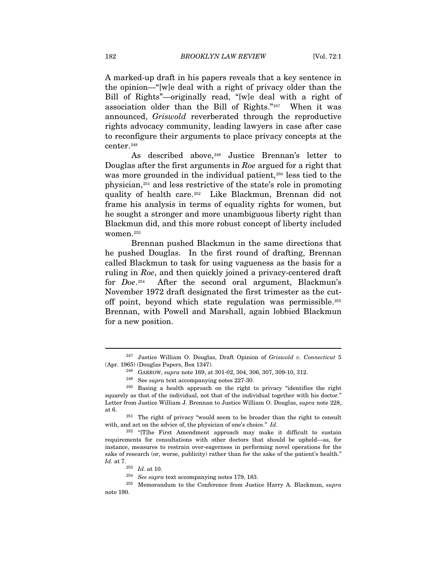A marked-up draft in his papers reveals that a key sentence in the opinion—"[w]e deal with a right of privacy older than the Bill of Rights"—originally read, "[w]e deal with a right of association older than the Bill of Rights."[247](#page-36-0) When it was announced, *Griswold* reverberated through the reproductive rights advocacy community, leading lawyers in case after case to reconfigure their arguments to place privacy concepts at the center.[248](#page-36-1)

As described above,  $249}$  $249}$  Justice Brennan's letter to Douglas after the first arguments in *Roe* argued for a right that was more grounded in the individual patient,<sup>[250](#page-36-3)</sup> less tied to the physician,[251](#page-36-4) and less restrictive of the state's role in promoting quality of health care.[252](#page-36-5) Like Blackmun, Brennan did not frame his analysis in terms of equality rights for women, but he sought a stronger and more unambiguous liberty right than Blackmun did, and this more robust concept of liberty included women.[253](#page-36-6)

Brennan pushed Blackmun in the same directions that he pushed Douglas. In the first round of drafting, Brennan called Blackmun to task for using vagueness as the basis for a ruling in *Roe*, and then quickly joined a privacy-centered draft for *Doe*.[254](#page-36-7) After the second oral argument, Blackmun's November 1972 draft designated the first trimester as the cutoff point, beyond which state regulation was permissible.[255](#page-36-8) Brennan, with Powell and Marshall, again lobbied Blackmun for a new position.

<span id="page-36-4"></span>with, and act on the advice of, the physician of one's choice." *Id.*

<span id="page-36-5"></span> $252$  "[T]he First Amendment approach may make it difficult to sustain requirements for consultations with other doctors that should be upheld—as, for instance, measures to restrain over-eagerness in performing novel operations for the sake of research (or, worse, publicity) rather than for the sake of the patient's health."<br> $Id.$  at 7.

<span id="page-36-0"></span><sup>247</sup> Justice William O. Douglas, Draft Opinion of *Griswold v. Connecticut* 5 (Apr. 1965) (Douglas Papers, Box 1347). 248 GARROW, *supra* note 169, at 301-02, 304, 306, 307, 309-10, 312.

<span id="page-36-3"></span><span id="page-36-2"></span><span id="page-36-1"></span><sup>249</sup> See *supra* text accompanying notes 227-30. 250 Basing a health approach on the right to privacy "identifies the right squarely as that of the individual, not that of the individual together with his doctor." Letter from Justice William J. Brennan to Justice William O. Douglas, *supra* note 228, at 6. 251 The right of privacy "would seem to be broader than the right to consult

<span id="page-36-8"></span><span id="page-36-7"></span><span id="page-36-6"></span>*Id.* at 7. 253 *Id.* at 10. 254 *See supra* text accompanying notes 179, 183. 255 Memorandum to the Conference from Justice Harry A. Blackmun, *supra*  note 190.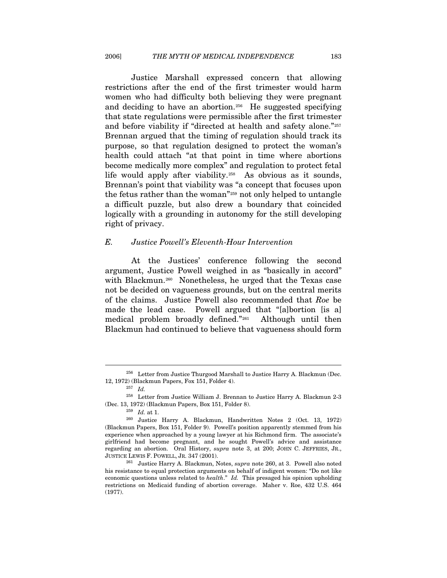Justice Marshall expressed concern that allowing restrictions after the end of the first trimester would harm women who had difficulty both believing they were pregnant and deciding to have an abortion.<sup>[256](#page-37-0)</sup> He suggested specifying that state regulations were permissible after the first trimester and before viability if "directed at health and safety alone."[257](#page-37-1) Brennan argued that the timing of regulation should track its purpose, so that regulation designed to protect the woman's health could attach "at that point in time where abortions become medically more complex" and regulation to protect fetal life would apply after viability.<sup>[258](#page-37-2)</sup> As obvious as it sounds, Brennan's point that viability was "a concept that focuses upon the fetus rather than the woman"[259](#page-37-3) not only helped to untangle a difficult puzzle, but also drew a boundary that coincided logically with a grounding in autonomy for the still developing right of privacy.

#### *E. Justice Powell's Eleventh-Hour Intervention*

At the Justices' conference following the second argument, Justice Powell weighed in as "basically in accord" with Blackmun.<sup>[260](#page-37-4)</sup> Nonetheless, he urged that the Texas case not be decided on vagueness grounds, but on the central merits of the claims. Justice Powell also recommended that *Roe* be made the lead case. Powell argued that "[a]bortion [is a] medical problem broadly defined."[261](#page-37-5) Although until then Blackmun had continued to believe that vagueness should form

<span id="page-37-0"></span><sup>&</sup>lt;sup>256</sup> Letter from Justice Thurgood Marshall to Justice Harry A. Blackmun (Dec. 12, 1972) (Blackmun Papers, Fox 151, Folder 4). 257 *Id.*

<span id="page-37-2"></span><span id="page-37-1"></span> $^{258}\,$  Letter from Justice William J. Brennan to Justice Harry A. Blackmun 2-3 (Dec. 13, 1972) (Blackmun Papers, Box 151, Folder 8). 259 *Id.* at 1. 260 Justice Harry A. Blackmun, Handwritten Notes 2 (Oct. 13, 1972)

<span id="page-37-4"></span><span id="page-37-3"></span><sup>(</sup>Blackmun Papers, Box 151, Folder 9). Powell's position apparently stemmed from his experience when approached by a young lawyer at his Richmond firm. The associate's girlfriend had become pregnant, and he sought Powell's advice and assistance regarding an abortion. Oral History, *supra* note 3, at 200; JOHN C. JEFFRIES, JR., JUSTICE LEWIS F. POWELL, JR. 347 (2001). 261 Justice Harry A. Blackmun, Notes, *supra* note 260, at 3. Powell also noted

<span id="page-37-5"></span>his resistance to equal protection arguments on behalf of indigent women: "Do not like economic questions unless related to *health*." *Id.* This presaged his opinion upholding restrictions on Medicaid funding of abortion coverage. Maher v. Roe, 432 U.S. 464 (1977).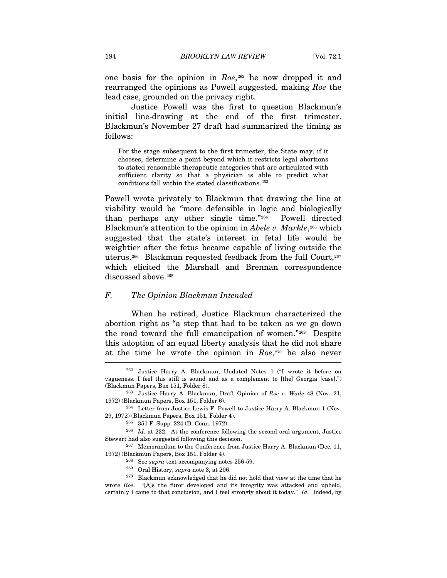one basis for the opinion in *Roe*,[262](#page-38-0) he now dropped it and rearranged the opinions as Powell suggested, making *Roe* the lead case, grounded on the privacy right.

Justice Powell was the first to question Blackmun's initial line-drawing at the end of the first trimester. Blackmun's November 27 draft had summarized the timing as follows:

For the stage subsequent to the first trimester, the State may, if it chooses, determine a point beyond which it restricts legal abortions to stated reasonable therapeutic categories that are articulated with sufficient clarity so that a physician is able to predict what conditions fall within the stated classifications.[263](#page-38-1)

Powell wrote privately to Blackmun that drawing the line at viability would be "more defensible in logic and biologically than perhaps any other single time."[264](#page-38-2) Powell directed Blackmun's attention to the opinion in *Abele v. Markle*,<sup>[265](#page-38-3)</sup> which suggested that the state's interest in fetal life would be weightier after the fetus became capable of living outside the uterus.<sup>[266](#page-38-4)</sup> Blackmun requested feedback from the full Court,<sup>[267](#page-38-5)</sup> which elicited the Marshall and Brennan correspondence discussed above.<sup>[268](#page-38-6)</sup>

#### *F. The Opinion Blackmun Intended*

When he retired, Justice Blackmun characterized the abortion right as "a step that had to be taken as we go down the road toward the full emancipation of women."[269](#page-38-7) Despite this adoption of an equal liberty analysis that he did not share at the time he wrote the opinion in *Roe*,[270](#page-38-8) he also never

<span id="page-38-0"></span><sup>262</sup> Justice Harry A. Blackmun, Undated Notes 1 ("I wrote it before on vagueness. I feel this still is sound and as a complement to [the] Georgia [case].") (Blackmun Papers, Box 151, Folder 8). 263 Justice Harry A. Blackmun, Draft Opinion of *Roe v. Wade* 48 (Nov. 21,

<span id="page-38-1"></span><sup>1972) (</sup>Blackmun Papers, Box 151, Folder 6).<br><sup>264</sup> Letter from Justice Lewis F. Powell to Justice Harry A. Blackmun 1 (Nov.

<span id="page-38-2"></span><sup>29, 1972) (</sup>Blackmun Papers, Box 151, Folder 4). 265 351 F. Supp. 224 (D. Conn. 1972). 266 *Id.* at 232. At the conference following the second oral argument, Justice

<span id="page-38-4"></span><span id="page-38-3"></span>Stewart had also suggested following this decision.<br><sup>267</sup> Memorandum to the Conference from Justice Harry A. Blackmun (Dec. 11,

<span id="page-38-6"></span><span id="page-38-5"></span><sup>1972) (</sup>Blackmun Papers, Box 151, Folder 4). <br><sup>268</sup> See *supra* text accompanying notes 256-59.<br><sup>269</sup> Oral History, *supra* note 3, at 206.<br><sup>270</sup> Blackmun acknowledged that he did not hold that view at the time that he

<span id="page-38-8"></span><span id="page-38-7"></span>wrote *Roe*. "[A]s the furor developed and its integrity was attacked and upheld, certainly I came to that conclusion, and I feel strongly about it today." *Id.* Indeed, by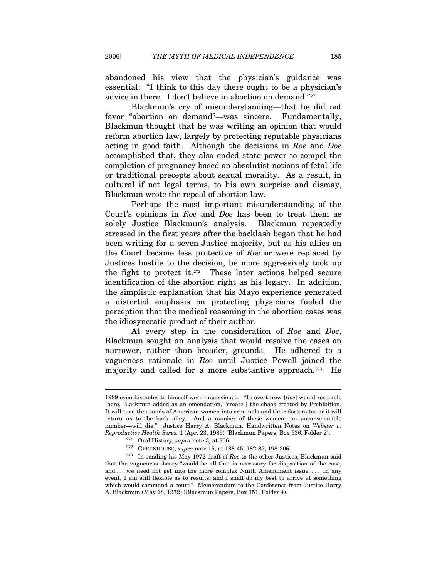abandoned his view that the physician's guidance was essential: "I think to this day there ought to be a physician's advice in there. I don't believe in abortion on demand."[271](#page-39-0)

Blackmun's cry of misunderstanding—that he did not favor "abortion on demand"—was sincere. Fundamentally, Blackmun thought that he was writing an opinion that would reform abortion law, largely by protecting reputable physicians acting in good faith. Although the decisions in *Roe* and *Doe* accomplished that, they also ended state power to compel the completion of pregnancy based on absolutist notions of fetal life or traditional precepts about sexual morality. As a result, in cultural if not legal terms, to his own surprise and dismay, Blackmun wrote the repeal of abortion law.

Perhaps the most important misunderstanding of the Court's opinions in *Roe* and *Doe* has been to treat them as solely Justice Blackmun's analysis. Blackmun repeatedly stressed in the first years after the backlash began that he had been writing for a seven-Justice majority, but as his allies on the Court became less protective of *Roe* or were replaced by Justices hostile to the decision, he more aggressively took up the fight to protect it.[272](#page-39-1) These later actions helped secure identification of the abortion right as his legacy. In addition, the simplistic explanation that his Mayo experience generated a distorted emphasis on protecting physicians fueled the perception that the medical reasoning in the abortion cases was the idiosyncratic product of their author.

At every step in the consideration of *Roe* and *Doe*, Blackmun sought an analysis that would resolve the cases on narrower, rather than broader, grounds. He adhered to a vagueness rationale in *Roe* until Justice Powell joined the majority and called for a more substantive approach.<sup>[273](#page-39-2)</sup> He

<sup>1989</sup> even his notes to himself were impassioned. "To overthrow [*Roe*] would resemble [here, Blackmun added as an emendation, "create"] the chaos created by Prohibition. It will turn thousands of American women into criminals and their doctors too or it will return us to the back alley. And a number of these women—an unconscionable number—will die." Justice Harry A. Blackmun, Handwritten Notes on *Webster v.*  Reproductive Health Servs. 1 (Apr. 23, 1989) (Blackmun Papers, Box 536, Folder 2).<br><sup>271</sup> Oral History, *supra* note 3, at 206.<br><sup>272</sup> GREENHOUSE, *supra* note 15, at 138-45, 182-85, 198-206.<br><sup>273</sup> In sending his May 1972 d

<span id="page-39-2"></span><span id="page-39-1"></span><span id="page-39-0"></span>that the vagueness theory "would be all that is necessary for disposition of the case, and . . . we need not get into the more complex Ninth Amendment issue. . . . In any event, I am still flexible as to results, and I shall do my best to arrive at something which would command a court." Memorandum to the Conference from Justice Harry A. Blackmun (May 18, 1972) (Blackmun Papers, Box 151, Folder 4).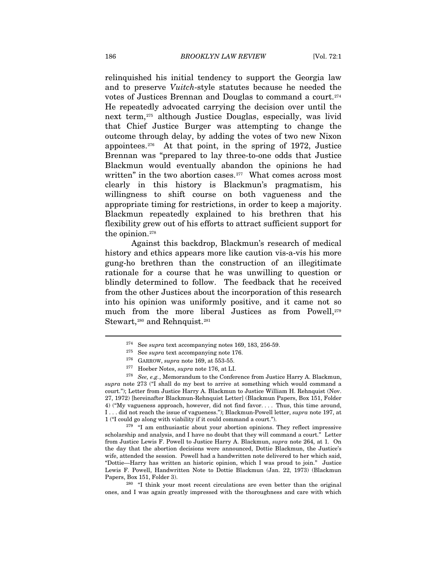relinquished his initial tendency to support the Georgia law and to preserve *Vuitch*-style statutes because he needed the votes of Justices Brennan and Douglas to command a court.[274](#page-40-0) He repeatedly advocated carrying the decision over until the next term,[275](#page-40-1) although Justice Douglas, especially, was livid that Chief Justice Burger was attempting to change the outcome through delay, by adding the votes of two new Nixon appointees.[276](#page-40-2) At that point, in the spring of 1972, Justice Brennan was "prepared to lay three-to-one odds that Justice Blackmun would eventually abandon the opinions he had written" in the two abortion cases.<sup>[277](#page-40-3)</sup> What comes across most clearly in this history is Blackmun's pragmatism, his willingness to shift course on both vagueness and the appropriate timing for restrictions, in order to keep a majority. Blackmun repeatedly explained to his brethren that his flexibility grew out of his efforts to attract sufficient support for the opinion.<sup>[278](#page-40-4)</sup>

Against this backdrop, Blackmun's research of medical history and ethics appears more like caution vis-a-vis his more gung-ho brethren than the construction of an illegitimate rationale for a course that he was unwilling to question or blindly determined to follow. The feedback that he received from the other Justices about the incorporation of this research into his opinion was uniformly positive, and it came not so much from the more liberal Justices as from Powell,<sup>[279](#page-40-5)</sup> Stewart,<sup>[280](#page-40-6)</sup> and Rehnquist.<sup>[281](#page-40-7)</sup>

<span id="page-40-5"></span>1 ("I could go along with viability if it could command a court."). 279 "I am enthusiastic about your abortion opinions. They reflect impressive scholarship and analysis, and I have no doubt that they will command a court." Letter from Justice Lewis F. Powell to Justice Harry A. Blackmun, *supra* note 264, at 1. On the day that the abortion decisions were announced, Dottie Blackmun, the Justice's wife, attended the session. Powell had a handwritten note delivered to her which said, "Dottie—Harry has written an historic opinion, which I was proud to join." Justice Lewis F. Powell, Handwritten Note to Dottie Blackmun (Jan. 22, 1973) (Blackmun

<span id="page-40-6"></span>Papers, Box 151, Folder 3). <sup>280</sup> "I think your most recent circulations are even better than the original ones, and I was again greatly impressed with the thoroughness and care with which

<span id="page-40-7"></span><span id="page-40-4"></span><span id="page-40-3"></span><span id="page-40-2"></span><span id="page-40-1"></span><span id="page-40-0"></span><sup>&</sup>lt;sup>274</sup> See *supra* text accompanying notes 169, 183, 256-59.<br>
<sup>275</sup> See *supra* text accompanying note 176.<br>
<sup>276</sup> GARROW, *supra* note 169, at 553-55.<br>
<sup>277</sup> Hoeber Notes, *supra* note 176, at LI.<br>
<sup>278</sup> See, e.g., Memora *supra* note 273 ("I shall do my best to arrive at something which would command a court."); Letter from Justice Harry A. Blackmun to Justice William H. Rehnquist (Nov. 27, 1972) [hereinafter Blackmun-Rehnquist Letter] (Blackmun Papers, Box 151, Folder 4) ("My vagueness approach, however, did not find favor. . . . Thus, this time around, I . . . did not reach the issue of vagueness."); Blackmun-Powell letter, *supra* note 197, at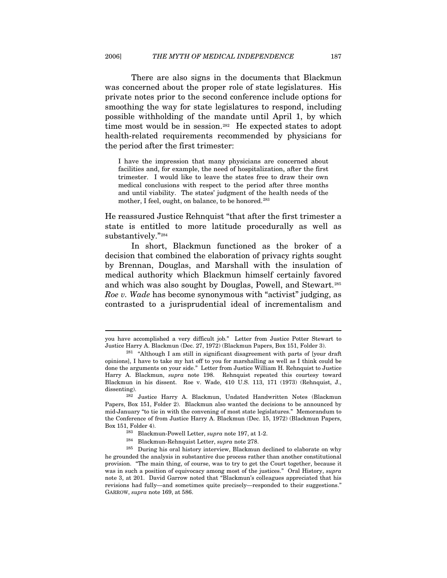There are also signs in the documents that Blackmun was concerned about the proper role of state legislatures. His private notes prior to the second conference include options for smoothing the way for state legislatures to respond, including possible withholding of the mandate until April 1, by which time most would be in session.<sup>[282](#page-41-0)</sup> He expected states to adopt health-related requirements recommended by physicians for the period after the first trimester:

I have the impression that many physicians are concerned about facilities and, for example, the need of hospitalization, after the first trimester. I would like to leave the states free to draw their own medical conclusions with respect to the period after three months and until viability. The states' judgment of the health needs of the mother, I feel, ought, on balance, to be honored.<sup>[283](#page-41-1)</sup>

He reassured Justice Rehnquist "that after the first trimester a state is entitled to more latitude procedurally as well as substantively."[284](#page-41-2)

In short, Blackmun functioned as the broker of a decision that combined the elaboration of privacy rights sought by Brennan, Douglas, and Marshall with the insulation of medical authority which Blackmun himself certainly favored and which was also sought by Douglas, Powell, and Stewart.[285](#page-41-3) *Roe v. Wade* has become synonymous with "activist" judging, as contrasted to a jurisprudential ideal of incrementalism and

you have accomplished a very difficult job." Letter from Justice Potter Stewart to Justice Harry A. Blackmun (Dec. 27, 1972) (Blackmun Papers, Box 151, Folder 3). 281 "Although I am still in significant disagreement with parts of [your draft

opinions], I have to take my hat off to you for marshalling as well as I think could be done the arguments on your side." Letter from Justice William H. Rehnquist to Justice Harry A. Blackmun, *supra* note 198. Rehnquist repeated this courtesy toward Blackmun in his dissent. Roe v. Wade, 410 U.S. 113, 171 (1973) (Rehnquist, J., dissenting).<br><sup>282</sup> Justice Harry A. Blackmun, Undated Handwritten Notes (Blackmun

<span id="page-41-0"></span>Papers, Box 151, Folder 2). Blackmun also wanted the decisions to be announced by mid-January "to tie in with the convening of most state legislatures." Memorandum to the Conference of from Justice Harry A. Blackmun (Dec. 15, 1972) (Blackmun Papers, Box 151, Folder 4). 283 Blackmun-Powell Letter, *supra* note 197, at 1-2. 284 Blackmun-Rehnquist Letter, *supra* note 278. 285 During his oral history interview, Blackmun declined to elaborate on why

<span id="page-41-3"></span><span id="page-41-2"></span><span id="page-41-1"></span>he grounded the analysis in substantive due process rather than another constitutional provision. "The main thing, of course, was to try to get the Court together, because it was in such a position of equivocacy among most of the justices." Oral History, *supra* note 3, at 201. David Garrow noted that "Blackmun's colleagues appreciated that his revisions had fully—and sometimes quite precisely—responded to their suggestions." GARROW, *supra* note 169, at 586.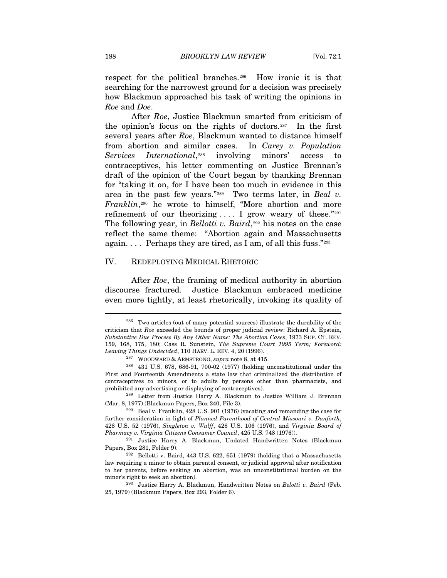respect for the political branches.[286](#page-42-0) How ironic it is that searching for the narrowest ground for a decision was precisely how Blackmun approached his task of writing the opinions in *Roe* and *Doe*.

After *Roe*, Justice Blackmun smarted from criticism of the opinion's focus on the rights of doctors.[287](#page-42-1) In the first several years after *Roe*, Blackmun wanted to distance himself from abortion and similar cases. In *Carey v. Population Services International*,[288](#page-42-2) involving minors' access to contraceptives, his letter commenting on Justice Brennan's draft of the opinion of the Court began by thanking Brennan for "taking it on, for I have been too much in evidence in this area in the past few years."[289](#page-42-3) Two terms later, in *Beal v. Franklin*,<sup>[290](#page-42-4)</sup> he wrote to himself, "More abortion and more refinement of our theorizing  $\dots$  I grow weary of these."[291](#page-42-5) The following year, in *Bellotti v. Baird*,<sup>[292](#page-42-6)</sup> his notes on the case reflect the same theme: "Abortion again and Massachusetts again.  $\ldots$  Perhaps they are tired, as I am, of all this fuss."[293](#page-42-7)

## IV. REDEPLOYING MEDICAL RHETORIC

After *Roe*, the framing of medical authority in abortion discourse fractured. Justice Blackmun embraced medicine even more tightly, at least rhetorically, invoking its quality of

<span id="page-42-0"></span><sup>286</sup> Two articles (out of many potential sources) illustrate the durability of the criticism that *Roe* exceeded the bounds of proper judicial review: Richard A. Epstein, *Substantive Due Process By Any Other Name: The Abortion Cases*, 1973 SUP. CT. REV. 159, 168, 175, 180; Cass R. Sunstein, *The Supreme Court 1995 Term; Foreword: Leaving Things Undecided*, 110 HARV. L. REV. 4, 20 (1996). <sup>287</sup> WOODWARD & ARMSTRONG, *supra* note 8, at 415.<br><sup>288</sup> 431 U.S. 678, 686-91, 700-02 (1977) (holding unconstitutional under the

<span id="page-42-2"></span><span id="page-42-1"></span>First and Fourteenth Amendments a state law that criminalized the distribution of contraceptives to minors, or to adults by persons other than pharmacists, and prohibited any advertising or displaying of contraceptives). 289 Letter from Justice Harry A. Blackmun to Justice William J. Brennan

<span id="page-42-3"></span><sup>(</sup>Mar. 8, 1977) (Blackmun Papers, Box 240, File 3).  $^{290}$  Beal v. Franklin, 428 U.S. 901 (1976) (vacating and remanding the case for

<span id="page-42-4"></span>further consideration in light of *Planned Parenthood of Central Missouri v. Danforth*, 428 U.S. 52 (1976), *Singleton v. Wulff*, 428 U.S. 106 (1976), and *Virginia Board of* 

<span id="page-42-5"></span>*Pharmacy v. Virginia Citizens Consumer Council*, 425 U.S. 748 (1976)). 291 Justice Harry A. Blackmun, Undated Handwritten Notes (Blackmun

<span id="page-42-6"></span> $292$  Bellotti v. Baird, 443 U.S. 622, 651 (1979) (holding that a Massachusetts law requiring a minor to obtain parental consent, or judicial approval after notification to her parents, before seeking an abortion, was an unconstitutional burden on the

<span id="page-42-7"></span>minor's right to seek an abortion). 293 Justice Harry A. Blackmun, Handwritten Notes on *Belotti v. Baird* (Feb. 25, 1979) (Blackmun Papers, Box 293, Folder 6).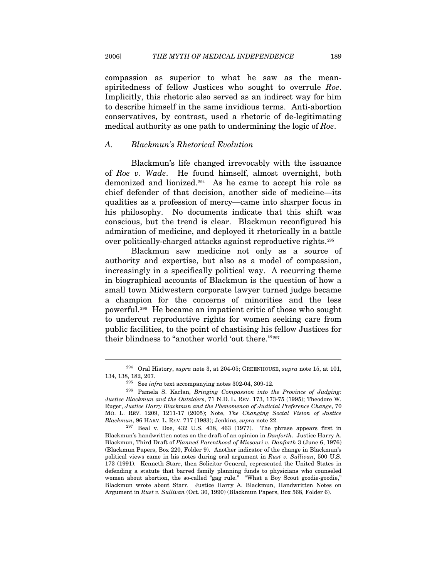compassion as superior to what he saw as the meanspiritedness of fellow Justices who sought to overrule *Roe*. Implicitly, this rhetoric also served as an indirect way for him to describe himself in the same invidious terms. Anti-abortion conservatives, by contrast, used a rhetoric of de-legitimating medical authority as one path to undermining the logic of *Roe*.

#### *A. Blackmun's Rhetorical Evolution*

Blackmun's life changed irrevocably with the issuance of *Roe v. Wade*. He found himself, almost overnight, both demonized and lionized.[294](#page-43-0) As he came to accept his role as chief defender of that decision, another side of medicine—its qualities as a profession of mercy—came into sharper focus in his philosophy. No documents indicate that this shift was conscious, but the trend is clear. Blackmun reconfigured his admiration of medicine, and deployed it rhetorically in a battle over politically-charged attacks against reproductive rights.[295](#page-43-1)

Blackmun saw medicine not only as a source of authority and expertise, but also as a model of compassion, increasingly in a specifically political way. A recurring theme in biographical accounts of Blackmun is the question of how a small town Midwestern corporate lawyer turned judge became a champion for the concerns of minorities and the less powerful.[296](#page-43-2) He became an impatient critic of those who sought to undercut reproductive rights for women seeking care from public facilities, to the point of chastising his fellow Justices for their blindness to "another world 'out there."<sup>[297](#page-43-3)</sup>

<span id="page-43-0"></span><sup>294</sup> Oral History, *supra* note 3, at 204-05; GREENHOUSE, *supra* note 15, at 101, 134, 138, 182, 207. 295 See *infra* text accompanying notes 302-04, 309-12. 296 Pamela S. Karlan, *Bringing Compassion into the Province of Judging:* 

<span id="page-43-2"></span><span id="page-43-1"></span>*Justice Blackmun and the Outsiders*, 71 N.D. L. REV. 173, 173-75 (1995); Theodore W. Ruger, *Justice Harry Blackmun and the Phenomenon of Judicial Preference Change*, 70 MO. L. REV. 1209, 1211-17 (2005); Note, *The Changing Social Vision of Justice* 

<span id="page-43-3"></span><sup>&</sup>lt;sup>297</sup> Beal v. Doe, 432 U.S. 438, 463 (1977). The phrase appears first in Blackmun's handwritten notes on the draft of an opinion in *Danforth*. Justice Harry A. Blackmun, Third Draft of *Planned Parenthood of Missouri v. Danforth* 3 (June 6, 1976) (Blackmun Papers, Box 220, Folder 9). Another indicator of the change in Blackmun's political views came in his notes during oral argument in *Rust v. Sullivan*, 500 U.S. 173 (1991). Kenneth Starr, then Solicitor General, represented the United States in defending a statute that barred family planning funds to physicians who counseled women about abortion, the so-called "gag rule." "What a Boy Scout goodie-goodie," Blackmun wrote about Starr. Justice Harry A. Blackmun, Handwritten Notes on Argument in *Rust v. Sullivan* (Oct. 30, 1990) (Blackmun Papers, Box 568, Folder 6).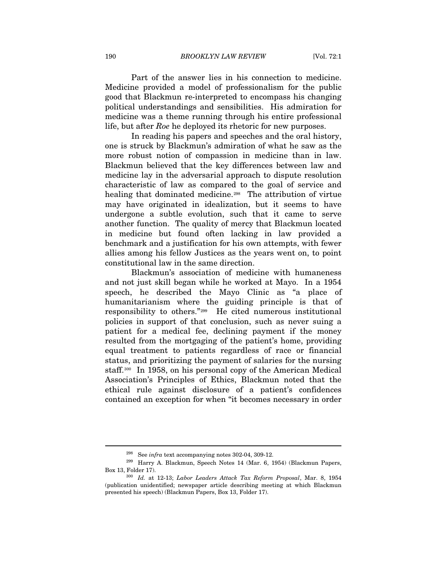190 *BROOKLYN LAW REVIEW* [Vol. 72:1

Part of the answer lies in his connection to medicine. Medicine provided a model of professionalism for the public good that Blackmun re-interpreted to encompass his changing political understandings and sensibilities. His admiration for medicine was a theme running through his entire professional life, but after *Roe* he deployed its rhetoric for new purposes.

In reading his papers and speeches and the oral history, one is struck by Blackmun's admiration of what he saw as the more robust notion of compassion in medicine than in law. Blackmun believed that the key differences between law and medicine lay in the adversarial approach to dispute resolution characteristic of law as compared to the goal of service and healing that dominated medicine.<sup>[298](#page-44-0)</sup> The attribution of virtue may have originated in idealization, but it seems to have undergone a subtle evolution, such that it came to serve another function. The quality of mercy that Blackmun located in medicine but found often lacking in law provided a benchmark and a justification for his own attempts, with fewer allies among his fellow Justices as the years went on, to point constitutional law in the same direction.

Blackmun's association of medicine with humaneness and not just skill began while he worked at Mayo. In a 1954 speech, he described the Mayo Clinic as "a place of humanitarianism where the guiding principle is that of responsibility to others."[299](#page-44-1) He cited numerous institutional policies in support of that conclusion, such as never suing a patient for a medical fee, declining payment if the money resulted from the mortgaging of the patient's home, providing equal treatment to patients regardless of race or financial status, and prioritizing the payment of salaries for the nursing staff.<sup>[300](#page-44-2)</sup> In 1958, on his personal copy of the American Medical Association's Principles of Ethics, Blackmun noted that the ethical rule against disclosure of a patient's confidences contained an exception for when "it becomes necessary in order

<span id="page-44-1"></span><span id="page-44-0"></span><sup>298</sup> See *infra* text accompanying notes 302-04, 309-12. 299 Harry A. Blackmun, Speech Notes 14 (Mar. 6, 1954) (Blackmun Papers, Box 13, Folder 17). 300 *Id.* at 12-13; *Labor Leaders Attack Tax Reform Proposal*, Mar. 8, 1954

<span id="page-44-2"></span><sup>(</sup>publication unidentified; newspaper article describing meeting at which Blackmun presented his speech) (Blackmun Papers, Box 13, Folder 17).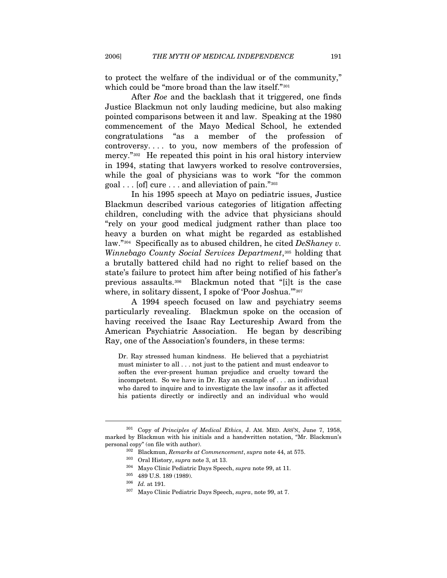to protect the welfare of the individual or of the community," which could be "more broad than the law itself."<sup>[301](#page-45-0)</sup>

After *Roe* and the backlash that it triggered, one finds Justice Blackmun not only lauding medicine, but also making pointed comparisons between it and law. Speaking at the 1980 commencement of the Mayo Medical School, he extended congratulations "as a member of the profession of controversy. . . . to you, now members of the profession of mercy."<sup>[302](#page-45-1)</sup> He repeated this point in his oral history interview in 1994, stating that lawyers worked to resolve controversies, while the goal of physicians was to work "for the common" goal . . . [of] cure . . . and alleviation of pain."[303](#page-45-2)

In his 1995 speech at Mayo on pediatric issues, Justice Blackmun described various categories of litigation affecting children, concluding with the advice that physicians should "rely on your good medical judgment rather than place too heavy a burden on what might be regarded as established law."[304](#page-45-3) Specifically as to abused children, he cited *DeShaney v. Winnebago County Social Services Department*,<sup>[305](#page-45-4)</sup> holding that a brutally battered child had no right to relief based on the state's failure to protect him after being notified of his father's previous assaults.[306](#page-45-5) Blackmun noted that "[i]t is the case where, in solitary dissent, I spoke of 'Poor Joshua."<sup>[307](#page-45-6)</sup>

A 1994 speech focused on law and psychiatry seems particularly revealing. Blackmun spoke on the occasion of having received the Isaac Ray Lectureship Award from the American Psychiatric Association. He began by describing Ray, one of the Association's founders, in these terms:

Dr. Ray stressed human kindness. He believed that a psychiatrist must minister to all . . . not just to the patient and must endeavor to soften the ever-present human prejudice and cruelty toward the incompetent. So we have in Dr. Ray an example of . . . an individual who dared to inquire and to investigate the law insofar as it affected his patients directly or indirectly and an individual who would

<span id="page-45-6"></span><span id="page-45-5"></span><span id="page-45-4"></span><span id="page-45-3"></span><span id="page-45-2"></span><span id="page-45-1"></span><span id="page-45-0"></span><sup>301</sup> Copy of *Principles of Medical Ethics*, J. AM. MED. ASS'N, June 7, 1958, marked by Blackmun with his initials and a handwritten notation, "Mr. Blackmun's % personal copy" (on file with author).<br>  $^{302}$  Blackmun, *Remarks at Commencement*, *supra* note 44, at 575.<br>  $^{303}$  Oral History, *supra* note 3, at 13.<br>  $^{304}$  Mayo Clinic Pediatric Days Speech, *supra* note 99, at

<sup>305 489</sup> U.S. 189 (1989). 306 *Id.* at 191. 307 Mayo Clinic Pediatric Days Speech, *supra*, note 99, at 7.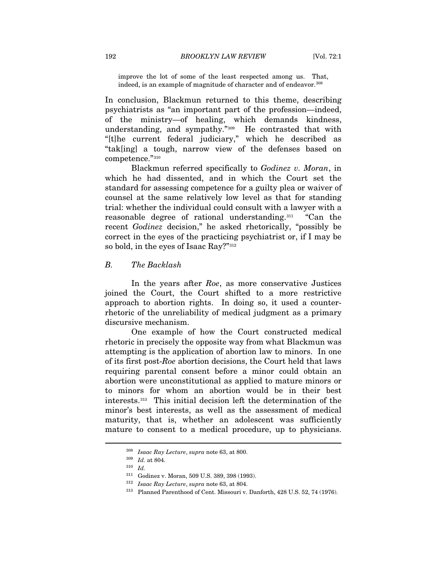improve the lot of some of the least respected among us. That, indeed, is an example of magnitude of character and of endeavor.<sup>[308](#page-46-0)</sup>

In conclusion, Blackmun returned to this theme, describing psychiatrists as "an important part of the profession—indeed, of the ministry—of healing, which demands kindness, understanding, and sympathy."[309](#page-46-1) He contrasted that with "[t]he current federal judiciary," which he described as "tak[ing] a tough, narrow view of the defenses based on competence."[310](#page-46-2)

Blackmun referred specifically to *Godinez v. Moran*, in which he had dissented, and in which the Court set the standard for assessing competence for a guilty plea or waiver of counsel at the same relatively low level as that for standing trial: whether the individual could consult with a lawyer with a reasonable degree of rational understanding.<sup>[311](#page-46-3)</sup> "Can the recent *Godinez* decision," he asked rhetorically, "possibly be correct in the eyes of the practicing psychiatrist or, if I may be so bold, in the eyes of Isaac Ray?"[312](#page-46-4)

## *B. The Backlash*

In the years after *Roe*, as more conservative Justices joined the Court, the Court shifted to a more restrictive approach to abortion rights. In doing so, it used a counterrhetoric of the unreliability of medical judgment as a primary discursive mechanism.

One example of how the Court constructed medical rhetoric in precisely the opposite way from what Blackmun was attempting is the application of abortion law to minors. In one of its first post-*Roe* abortion decisions, the Court held that laws requiring parental consent before a minor could obtain an abortion were unconstitutional as applied to mature minors or to minors for whom an abortion would be in their best interests.[313](#page-46-5) This initial decision left the determination of the minor's best interests, as well as the assessment of medical maturity, that is, whether an adolescent was sufficiently mature to consent to a medical procedure, up to physicians.

<span id="page-46-1"></span><span id="page-46-0"></span><sup>308</sup> *Isaac Ray Lecture*, *supra* note 63, at 800. 309 *Id.* at 804. 310 *Id.*

<span id="page-46-5"></span><span id="page-46-4"></span><span id="page-46-3"></span><span id="page-46-2"></span><sup>311</sup> Godinez v. Moran, 509 U.S. 389, 398 (1993). 312 *Isaac Ray Lecture*, *supra* note 63, at 804. 313 Planned Parenthood of Cent. Missouri v. Danforth, 428 U.S. 52, 74 (1976).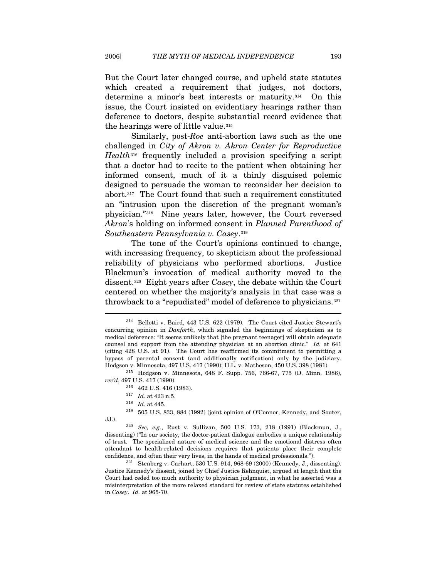But the Court later changed course, and upheld state statutes which created a requirement that judges, not doctors, determine a minor's best interests or maturity.[314](#page-47-0) On this issue, the Court insisted on evidentiary hearings rather than deference to doctors, despite substantial record evidence that the hearings were of little value.[315](#page-47-1)

Similarly, post-*Roe* anti-abortion laws such as the one challenged in *City of Akron v. Akron Center for Reproductive Health*[316](#page-47-2) frequently included a provision specifying a script that a doctor had to recite to the patient when obtaining her informed consent, much of it a thinly disguised polemic designed to persuade the woman to reconsider her decision to abort.[317](#page-47-3) The Court found that such a requirement constituted an "intrusion upon the discretion of the pregnant woman's physician."[318](#page-47-4) Nine years later, however, the Court reversed *Akron*'s holding on informed consent in *Planned Parenthood of Southeastern Pennsylvania v. Casey*.[319](#page-47-5)

The tone of the Court's opinions continued to change, with increasing frequency, to skepticism about the professional reliability of physicians who performed abortions. Justice Blackmun's invocation of medical authority moved to the dissent.[320](#page-47-6) Eight years after *Casey*, the debate within the Court centered on whether the majority's analysis in that case was a throwback to a "repudiated" model of deference to physicians.<sup>[321](#page-47-7)</sup>

<span id="page-47-2"></span><span id="page-47-1"></span>*rev'd*, 497 U.S. 417 (1990). 316 462 U.S. 416 (1983). 317 *Id.* at 423 n.5. 318 *Id.* at 445.

<span id="page-47-5"></span><span id="page-47-4"></span><span id="page-47-3"></span>319 505 U.S. 833, 884 (1992) (joint opinion of O'Connor, Kennedy, and Souter, JJ.). 320 *See, e.g.*, Rust v. Sullivan, 500 U.S. 173, 218 (1991) (Blackmun, J.,

<span id="page-47-6"></span>dissenting) ("In our society, the doctor-patient dialogue embodies a unique relationship of trust. The specialized nature of medical science and the emotional distress often attendant to health-related decisions requires that patients place their complete confidence, and often their very lives, in the hands of medical professionals."). 321 Stenberg v. Carhart, 530 U.S. 914, 968-69 (2000) (Kennedy, J., dissenting).

<span id="page-47-7"></span>Justice Kennedy's dissent, joined by Chief Justice Rehnquist, argued at length that the Court had ceded too much authority to physician judgment, in what he asserted was a misinterpretation of the more relaxed standard for review of state statutes established in *Casey*. *Id.* at 965-70.

<span id="page-47-0"></span><sup>314</sup> Bellotti v. Baird, 443 U.S. 622 (1979). The Court cited Justice Stewart's concurring opinion in *Danforth*, which signaled the beginnings of skepticism as to medical deference: "It seems unlikely that [the pregnant teenager] will obtain adequate counsel and support from the attending physician at an abortion clinic." *Id.* at 641 (citing 428 U.S. at 91). The Court has reaffirmed its commitment to permitting a bypass of parental consent (and additionally notification) only by the judiciary. Hodgson v. Minnesota, 497 U.S. 417 (1990); H.L. v. Matheson, 450 U.S. 398 (1981). 315 Hodgson v. Minnesota, 648 F. Supp. 756, 766-67, 775 (D. Minn. 1986),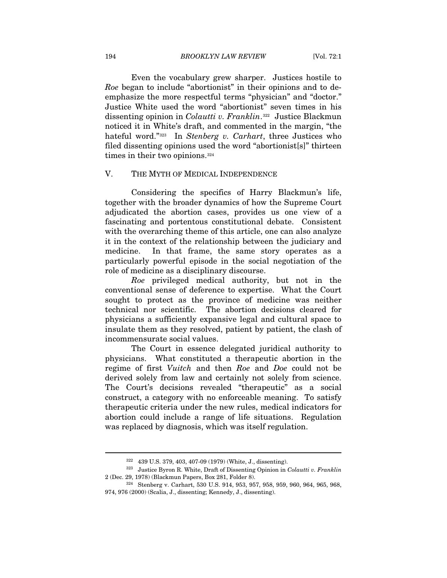Even the vocabulary grew sharper. Justices hostile to *Roe* began to include "abortionist" in their opinions and to deemphasize the more respectful terms "physician" and "doctor." Justice White used the word "abortionist" seven times in his dissenting opinion in *Colautti v. Franklin*.[322](#page-48-0) Justice Blackmun noticed it in White's draft, and commented in the margin, "the hateful word."[323](#page-48-1) In *Stenberg v. Carhart*, three Justices who filed dissenting opinions used the word "abortionist[s]" thirteen times in their two opinions.<sup>[324](#page-48-2)</sup>

## V. THE MYTH OF MEDICAL INDEPENDENCE

Considering the specifics of Harry Blackmun's life, together with the broader dynamics of how the Supreme Court adjudicated the abortion cases, provides us one view of a fascinating and portentous constitutional debate. Consistent with the overarching theme of this article, one can also analyze it in the context of the relationship between the judiciary and medicine. In that frame, the same story operates as a particularly powerful episode in the social negotiation of the role of medicine as a disciplinary discourse.

*Roe* privileged medical authority, but not in the conventional sense of deference to expertise. What the Court sought to protect as the province of medicine was neither technical nor scientific. The abortion decisions cleared for physicians a sufficiently expansive legal and cultural space to insulate them as they resolved, patient by patient, the clash of incommensurate social values.

The Court in essence delegated juridical authority to physicians. What constituted a therapeutic abortion in the regime of first *Vuitch* and then *Roe* and *Doe* could not be derived solely from law and certainly not solely from science. The Court's decisions revealed "therapeutic" as a social construct, a category with no enforceable meaning. To satisfy therapeutic criteria under the new rules, medical indicators for abortion could include a range of life situations. Regulation was replaced by diagnosis, which was itself regulation.

<span id="page-48-1"></span><span id="page-48-0"></span><sup>322 439</sup> U.S. 379, 403, 407-09 (1979) (White, J., dissenting). 323 Justice Byron R. White, Draft of Dissenting Opinion in *Colautti v. Franklin* 2 (Dec. 29, 1978) (Blackmun Papers, Box 281, Folder 8). 324 Stenberg v. Carhart, 530 U.S. 914, 953, 957, 958, 959, 960, 964, 965, 968,

<span id="page-48-2"></span><sup>974, 976 (2000) (</sup>Scalia, J., dissenting; Kennedy, J., dissenting).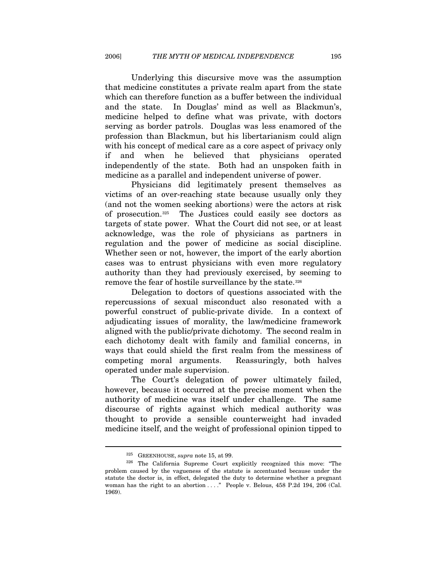Underlying this discursive move was the assumption that medicine constitutes a private realm apart from the state which can therefore function as a buffer between the individual and the state. In Douglas' mind as well as Blackmun's, medicine helped to define what was private, with doctors serving as border patrols. Douglas was less enamored of the profession than Blackmun, but his libertarianism could align with his concept of medical care as a core aspect of privacy only if and when he believed that physicians operated independently of the state. Both had an unspoken faith in medicine as a parallel and independent universe of power.

Physicians did legitimately present themselves as victims of an over-reaching state because usually only they (and not the women seeking abortions) were the actors at risk of prosecution.[325](#page-49-0) The Justices could easily see doctors as targets of state power. What the Court did not see, or at least acknowledge, was the role of physicians as partners in regulation and the power of medicine as social discipline. Whether seen or not, however, the import of the early abortion cases was to entrust physicians with even more regulatory authority than they had previously exercised, by seeming to remove the fear of hostile surveillance by the state.<sup>[326](#page-49-1)</sup>

Delegation to doctors of questions associated with the repercussions of sexual misconduct also resonated with a powerful construct of public-private divide. In a context of adjudicating issues of morality, the law/medicine framework aligned with the public/private dichotomy. The second realm in each dichotomy dealt with family and familial concerns, in ways that could shield the first realm from the messiness of competing moral arguments. Reassuringly, both halves operated under male supervision.

The Court's delegation of power ultimately failed, however, because it occurred at the precise moment when the authority of medicine was itself under challenge. The same discourse of rights against which medical authority was thought to provide a sensible counterweight had invaded medicine itself, and the weight of professional opinion tipped to

<span id="page-49-1"></span><span id="page-49-0"></span><sup>&</sup>lt;sup>325</sup> GREENHOUSE, *supra* note 15, at 99.<br><sup>326</sup> The California Supreme Court explicitly recognized this move: "The problem caused by the vagueness of the statute is accentuated because under the statute the doctor is, in effect, delegated the duty to determine whether a pregnant woman has the right to an abortion . . . ." People v. Belous, 458 P.2d 194, 206 (Cal. 1969).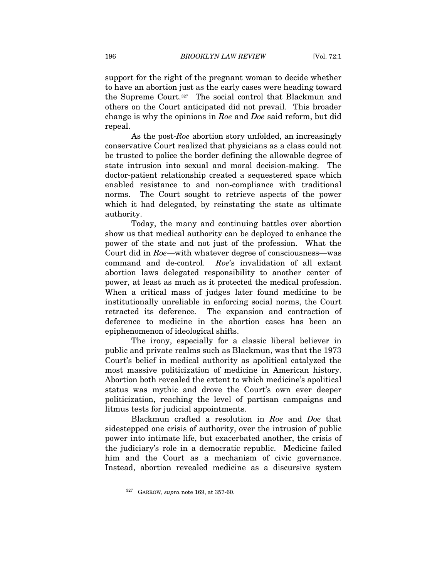support for the right of the pregnant woman to decide whether to have an abortion just as the early cases were heading toward the Supreme Court.[327](#page-50-0) The social control that Blackmun and others on the Court anticipated did not prevail. This broader change is why the opinions in *Roe* and *Doe* said reform, but did repeal.

As the post-*Roe* abortion story unfolded, an increasingly conservative Court realized that physicians as a class could not be trusted to police the border defining the allowable degree of state intrusion into sexual and moral decision-making. The doctor-patient relationship created a sequestered space which enabled resistance to and non-compliance with traditional norms. The Court sought to retrieve aspects of the power which it had delegated, by reinstating the state as ultimate authority.

Today, the many and continuing battles over abortion show us that medical authority can be deployed to enhance the power of the state and not just of the profession. What the Court did in *Roe*—with whatever degree of consciousness—was command and de-control. *Roe*'s invalidation of all extant abortion laws delegated responsibility to another center of power, at least as much as it protected the medical profession. When a critical mass of judges later found medicine to be institutionally unreliable in enforcing social norms, the Court retracted its deference. The expansion and contraction of deference to medicine in the abortion cases has been an epiphenomenon of ideological shifts.

The irony, especially for a classic liberal believer in public and private realms such as Blackmun, was that the 1973 Court's belief in medical authority as apolitical catalyzed the most massive politicization of medicine in American history. Abortion both revealed the extent to which medicine's apolitical status was mythic and drove the Court's own ever deeper politicization, reaching the level of partisan campaigns and litmus tests for judicial appointments.

Blackmun crafted a resolution in *Roe* and *Doe* that sidestepped one crisis of authority, over the intrusion of public power into intimate life, but exacerbated another, the crisis of the judiciary's role in a democratic republic. Medicine failed him and the Court as a mechanism of civic governance. Instead, abortion revealed medicine as a discursive system

<span id="page-50-0"></span><sup>327</sup> GARROW, *supra* note 169, at 357-60.